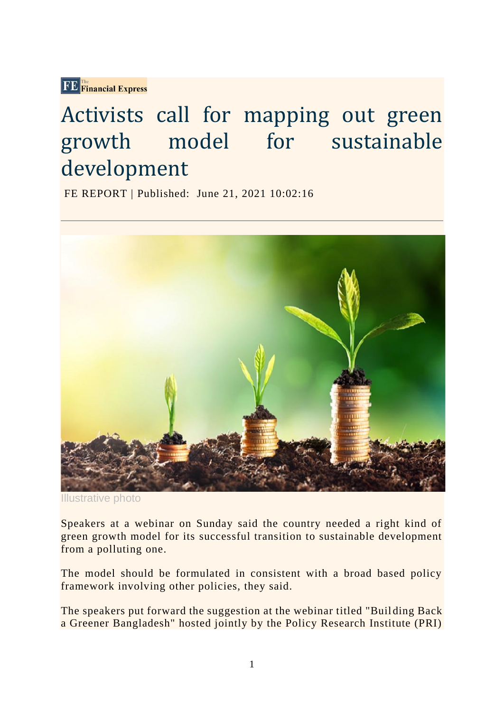FE Financial Express

# Activists call for mapping out green growth model for sustainable development

FE REPORT | Published: June 21, 2021 10:02:16



Illustrative photo

Speakers at a webinar on Sunday said the country needed a right kind of green growth model for its successful transition to sustainable development from a polluting one.

The model should be formulated in consistent with a broad based policy framework involving other policies, they said.

The speakers put forward the suggestion at the webinar titled "Buil ding Back a Greener Bangladesh" hosted jointly by the Policy Research Institute (PRI)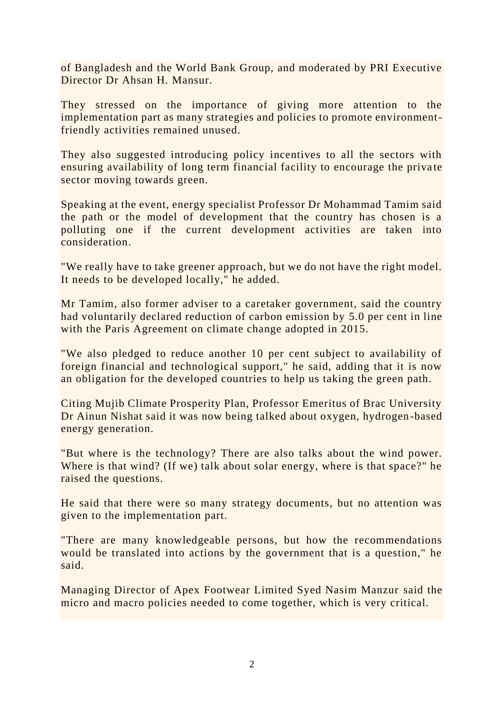of Bangladesh and the World Bank Group, and moderated by PRI Executive Director Dr Ahsan H. Mansur.

They stressed on the importance of giving more attention to the implementation part as many strategies and policies to promote environmentfriendly activities remained unused.

They also suggested introducing policy incentives to all the sectors with ensuring availability of long term financial facility to encourage the priva te sector moving towards green.

Speaking at the event, energy specialist Professor Dr Mohammad Tamim said the path or the model of development that the country has chosen is a polluting one if the current development activities are taken into consideration.

"We really have to take greener approach, but we do not have the right model. It needs to be developed locally," he added.

Mr Tamim, also former adviser to a caretaker government, said the country had voluntarily declared reduction of carbon emission by 5.0 per cent in line with the Paris Agreement on climate change adopted in 2015.

"We also pledged to reduce another 10 per cent subject to availability of foreign financial and technological support," he said, adding that it is now an obligation for the developed countries to help us taking the green path.

Citing Mujib Climate Prosperity Plan, Professor Emeritus of Brac University Dr Ainun Nishat said it was now being talked about oxygen, hydrogen -based energy generation.

"But where is the technology? There are also talks about the wind power. Where is that wind? (If we) talk about solar energy, where is that space?" he raised the questions.

He said that there were so many strategy documents, but no attention was given to the implementation part.

"There are many knowledgeable persons, but how the recommendations would be translated into actions by the government that is a question," he said.

Managing Director of Apex Footwear Limited Syed Nasim Manzur said the micro and macro policies needed to come together, which is very critical.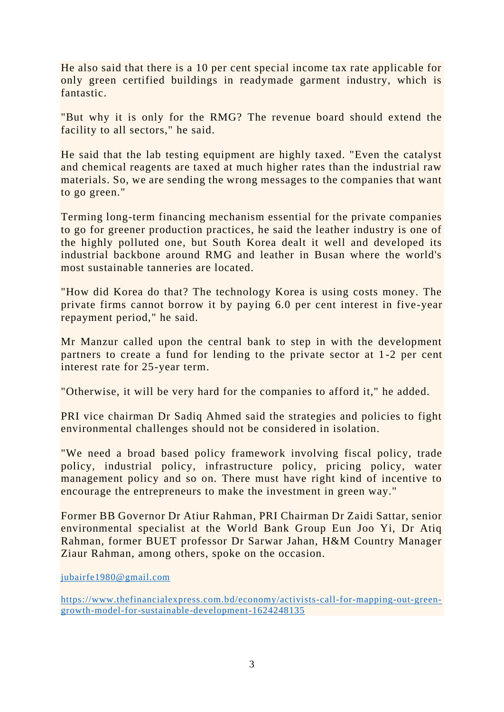He also said that there is a 10 per cent special income tax rate applicable for only green certified buildings in readymade garment industry, which is fantastic.

"But why it is only for the RMG? The revenue board should extend the facility to all sectors," he said.

He said that the lab testing equipment are highly taxed. "Even the catalyst and chemical reagents are taxed at much higher rates than the industrial raw materials. So, we are sending the wrong messages to the companies that want to go green."

Terming long-term financing mechanism essential for the private companies to go for greener production practices, he said the leather industry is one of the highly polluted one, but South Korea dealt it well and developed its industrial backbone around RMG and leather in Busan where the world's most sustainable tanneries are located.

"How did Korea do that? The technology Korea is using costs money. The private firms cannot borrow it by paying 6.0 per cent interest in five-year repayment period," he said.

Mr Manzur called upon the central bank to step in with the development partners to create a fund for lending to the private sector at 1 -2 per cent interest rate for 25-year term.

"Otherwise, it will be very hard for the companies to afford it," he added.

PRI vice chairman Dr Sadiq Ahmed said the strategies and policies to fight environmental challenges should not be considered in isolation.

"We need a broad based policy framework involving fiscal policy, trade policy, industrial policy, infrastructure policy, pricing policy, water management policy and so on. There must have right kind of incentive to encourage the entrepreneurs to make the investment in green way."

Former BB Governor Dr Atiur Rahman, PRI Chairman Dr Zaidi Sattar, senior environmental specialist at the World Bank Group Eun Joo Yi, Dr Atiq Rahman, former BUET professor Dr Sarwar Jahan, H&M Country Manager Ziaur Rahman, among others, spoke on the occasion.

[jubairfe1980@gmail.com](mailto:jubairfe1980@gmail.com)

[https://www.thefinancialexpress.com.bd/economy/activists-call-for-mapping-out-green](https://www.thefinancialexpress.com.bd/economy/activists-call-for-mapping-out-green-growth-model-for-sustainable-development-1624248135)[growth-model-for-sustainable-development-1624248135](https://www.thefinancialexpress.com.bd/economy/activists-call-for-mapping-out-green-growth-model-for-sustainable-development-1624248135)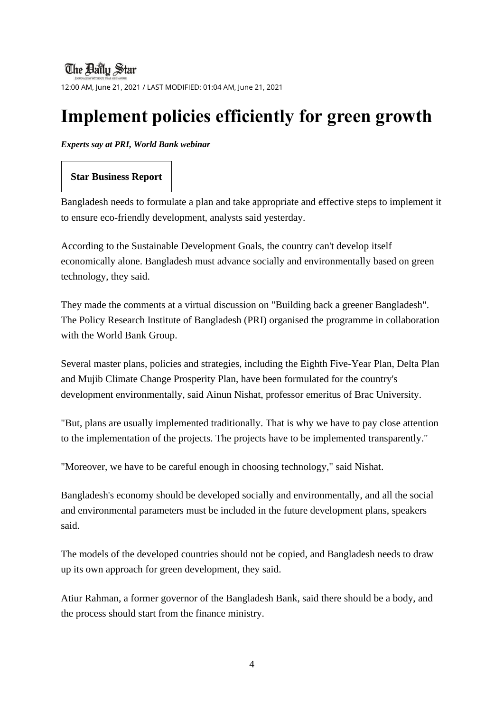### **The Ballu Star**

12:00 AM, June 21, 2021 / LAST MODIFIED: 01:04 AM, June 21, 2021

# **Implement policies efficiently for green growth**

#### *Experts say at PRI, World Bank webinar*

#### **Star Business Report**

Bangladesh needs to formulate a plan and take appropriate and effective steps to implement it to ensure eco-friendly development, analysts said yesterday.

According to the Sustainable Development Goals, the country can't develop itself economically alone. Bangladesh must advance socially and environmentally based on green technology, they said.

They made the comments at a virtual discussion on "Building back a greener Bangladesh". The Policy Research Institute of Bangladesh (PRI) organised the programme in collaboration with the World Bank Group.

Several master plans, policies and strategies, including the Eighth Five-Year Plan, Delta Plan and Mujib Climate Change Prosperity Plan, have been formulated for the country's development environmentally, said Ainun Nishat, professor emeritus of Brac University.

"But, plans are usually implemented traditionally. That is why we have to pay close attention to the implementation of the projects. The projects have to be implemented transparently."

"Moreover, we have to be careful enough in choosing technology," said Nishat.

Bangladesh's economy should be developed socially and environmentally, and all the social and environmental parameters must be included in the future development plans, speakers said.

The models of the developed countries should not be copied, and Bangladesh needs to draw up its own approach for green development, they said.

Atiur Rahman, a former governor of the Bangladesh Bank, said there should be a body, and the process should start from the finance ministry.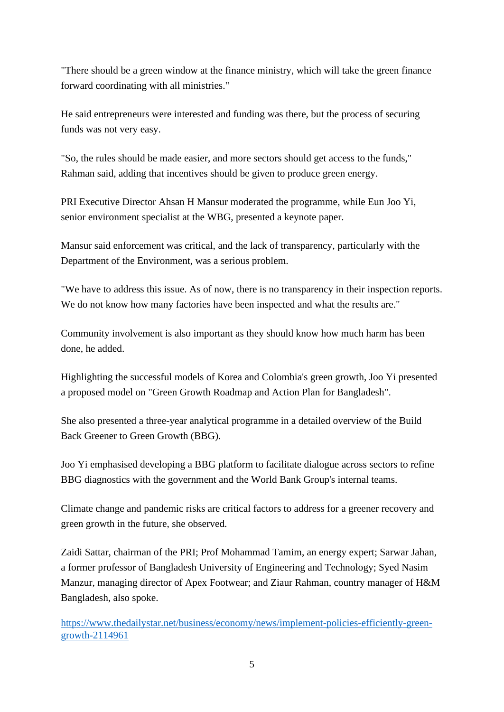"There should be a green window at the finance ministry, which will take the green finance forward coordinating with all ministries."

He said entrepreneurs were interested and funding was there, but the process of securing funds was not very easy.

"So, the rules should be made easier, and more sectors should get access to the funds," Rahman said, adding that incentives should be given to produce green energy.

PRI Executive Director Ahsan H Mansur moderated the programme, while Eun Joo Yi, senior environment specialist at the WBG, presented a keynote paper.

Mansur said enforcement was critical, and the lack of transparency, particularly with the Department of the Environment, was a serious problem.

"We have to address this issue. As of now, there is no transparency in their inspection reports. We do not know how many factories have been inspected and what the results are."

Community involvement is also important as they should know how much harm has been done, he added.

Highlighting the successful models of Korea and Colombia's green growth, Joo Yi presented a proposed model on "Green Growth Roadmap and Action Plan for Bangladesh".

She also presented a three-year analytical programme in a detailed overview of the Build Back Greener to Green Growth (BBG).

Joo Yi emphasised developing a BBG platform to facilitate dialogue across sectors to refine BBG diagnostics with the government and the World Bank Group's internal teams.

Climate change and pandemic risks are critical factors to address for a greener recovery and green growth in the future, she observed.

Zaidi Sattar, chairman of the PRI; Prof Mohammad Tamim, an energy expert; Sarwar Jahan, a former professor of Bangladesh University of Engineering and Technology; Syed Nasim Manzur, managing director of Apex Footwear; and Ziaur Rahman, country manager of H&M Bangladesh, also spoke.

[https://www.thedailystar.net/business/economy/news/implement-policies-efficiently-green](https://www.thedailystar.net/business/economy/news/implement-policies-efficiently-green-growth-2114961)[growth-2114961](https://www.thedailystar.net/business/economy/news/implement-policies-efficiently-green-growth-2114961)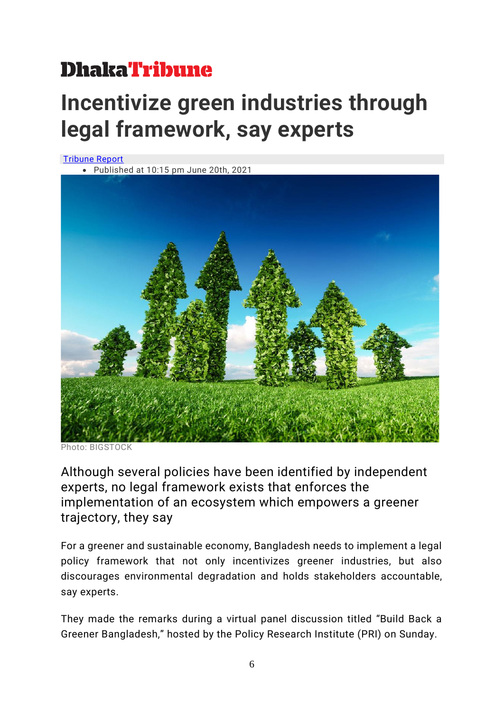# **DhakaTribune**

# **Incentivize green industries through legal framework, say experts**

[Tribune Report](https://www.dhakatribune.com/author/tribune-report)





Photo: BIGSTOCK

Although several policies have been identified by independent experts, no legal framework exists that enforces the implementation of an ecosystem which empowers a greener trajectory, they say

For a greener and sustainable economy, Bangladesh needs to implement a legal policy framework that not only incentivizes greener industries, but also discourages environmental degradation and holds stakeholders accountable, say experts.

They made the remarks during a virtual panel discussion titled "Build Back a Greener Bangladesh," hosted by the Policy Research Institute (PRI) on Sunday.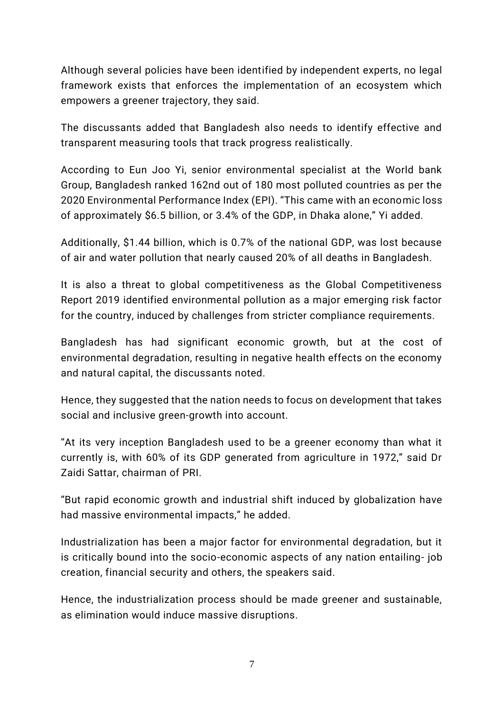Although several policies have been identified by independent experts, no legal framework exists that enforces the implementation of an ecosystem which empowers a greener trajectory, they said.

The discussants added that Bangladesh also needs to identify effective and transparent measuring tools that track progress realistically.

According to Eun Joo Yi, senior environmental specialist at the World bank Group, Bangladesh ranked 162nd out of 180 most polluted countries as per the 2020 Environmental Performance Index (EPI). "This came with an economic loss of approximately \$6.5 billion, or 3.4% of the GDP, in Dhaka alone," Yi added.

Additionally, \$1.44 billion, which is 0.7% of the national GDP, was lost because of air and water pollution that nearly caused 20% of all deaths in Bangladesh.

It is also a threat to global competitiveness as the Global Competitiveness Report 2019 identified environmental pollution as a major emerging risk factor for the country, induced by challenges from stricter compliance requirements.

Bangladesh has had significant economic growth, but at the cost of environmental degradation, resulting in negative health effects on the economy and natural capital, the discussants noted.

Hence, they suggested that the nation needs to focus on development that takes social and inclusive green-growth into account.

"At its very inception Bangladesh used to be a greener economy than what it currently is, with 60% of its GDP generated from agriculture in 1972," said Dr Zaidi Sattar, chairman of PRI.

"But rapid economic growth and industrial shift induced by globalization have had massive environmental impacts," he added.

Industrialization has been a major factor for environmental degradation, but it is critically bound into the socio-economic aspects of any nation entailing- job creation, financial security and others, the speakers said.

Hence, the industrialization process should be made greener and sustainable, as elimination would induce massive disruptions.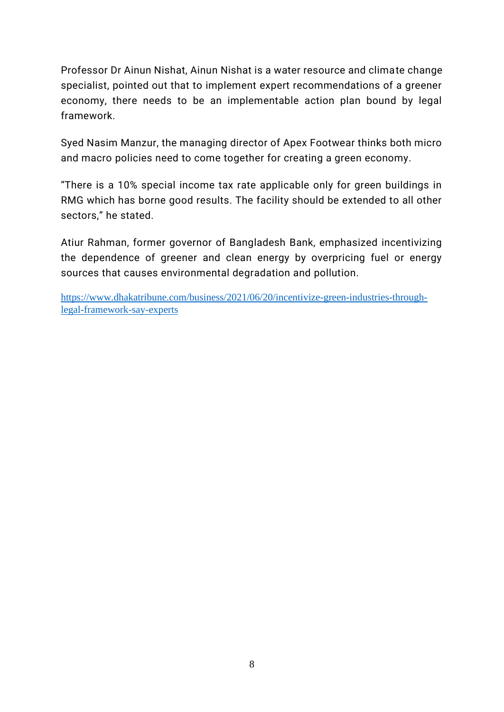Professor Dr Ainun Nishat, Ainun Nishat is a water resource and climate change specialist, pointed out that to implement expert recommendations of a greener economy, there needs to be an implementable action plan bound by legal framework.

Syed Nasim Manzur, the managing director of Apex Footwear thinks both micro and macro policies need to come together for creating a green economy.

"There is a 10% special income tax rate applicable only for green buildings in RMG which has borne good results. The facility should be extended to all other sectors," he stated.

Atiur Rahman, former governor of Bangladesh Bank, emphasized incentivizing the dependence of greener and clean energy by overpricing fuel or energy sources that causes environmental degradation and pollution.

[https://www.dhakatribune.com/business/2021/06/20/incentivize-green-industries-through](https://www.dhakatribune.com/business/2021/06/20/incentivize-green-industries-through-legal-framework-say-experts)[legal-framework-say-experts](https://www.dhakatribune.com/business/2021/06/20/incentivize-green-industries-through-legal-framework-say-experts)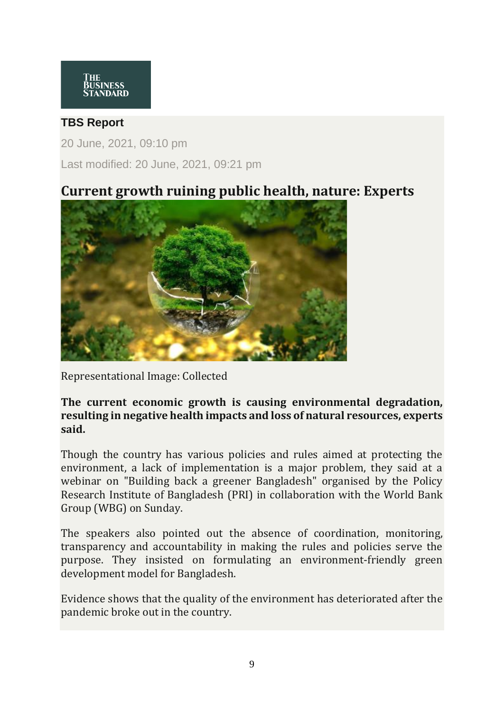#### **TBS Report**

20 June, 2021, 09:10 pm Last modified: 20 June, 2021, 09:21 pm

## **Current growth ruining public health, nature: Experts**



Representational Image: Collected

#### **The current economic growth is causing environmental degradation, resulting in negative health impacts and loss of natural resources, experts said.**

Though the country has various policies and rules aimed at protecting the environment, a lack of implementation is a major problem, they said at a webinar on "Building back a greener Bangladesh" organised by the Policy Research Institute of Bangladesh (PRI) in collaboration with the World Bank Group (WBG) on Sunday.

The speakers also pointed out the absence of coordination, monitoring, transparency and accountability in making the rules and policies serve the purpose. They insisted on formulating an environment-friendly green development model for Bangladesh.

Evidence shows that the quality of the environment has deteriorated after the pandemic broke out in the country.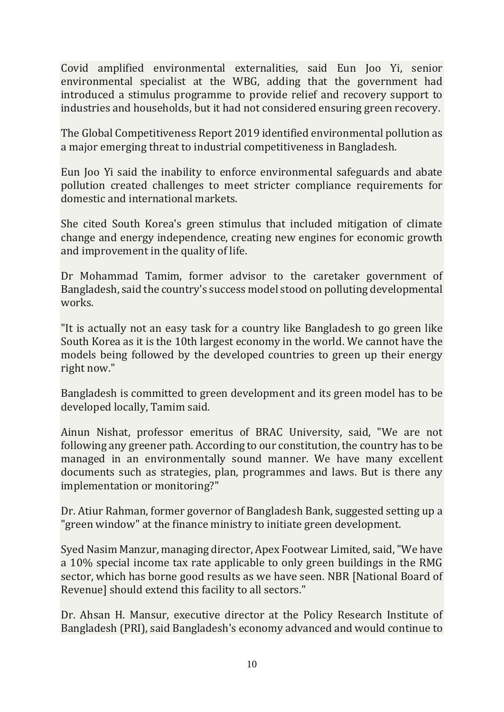Covid amplified environmental externalities, said Eun Joo Yi, senior environmental specialist at the WBG, adding that the government had introduced a stimulus programme to provide relief and recovery support to industries and households, but it had not considered ensuring green recovery.

The Global Competitiveness Report 2019 identified environmental pollution as a major emerging threat to industrial competitiveness in Bangladesh.

Eun Joo Yi said the inability to enforce environmental safeguards and abate pollution created challenges to meet stricter compliance requirements for domestic and international markets.

She cited South Korea's green stimulus that included mitigation of climate change and energy independence, creating new engines for economic growth and improvement in the quality of life.

Dr Mohammad Tamim, former advisor to the caretaker government of Bangladesh, said the country's success model stood on polluting developmental works.

"It is actually not an easy task for a country like Bangladesh to go green like South Korea as it is the 10th largest economy in the world. We cannot have the models being followed by the developed countries to green up their energy right now."

Bangladesh is committed to green development and its green model has to be developed locally, Tamim said.

Ainun Nishat, professor emeritus of BRAC University, said, "We are not following any greener path. According to our constitution, the country has to be managed in an environmentally sound manner. We have many excellent documents such as strategies, plan, programmes and laws. But is there any implementation or monitoring?"

Dr. Atiur Rahman, former governor of Bangladesh Bank, suggested setting up a "green window" at the finance ministry to initiate green development.

Syed Nasim Manzur, managing director, Apex Footwear Limited, said, "We have a 10% special income tax rate applicable to only green buildings in the RMG sector, which has borne good results as we have seen. NBR [National Board of Revenue] should extend this facility to all sectors."

Dr. Ahsan H. Mansur, executive director at the Policy Research Institute of Bangladesh (PRI), said Bangladesh's economy advanced and would continue to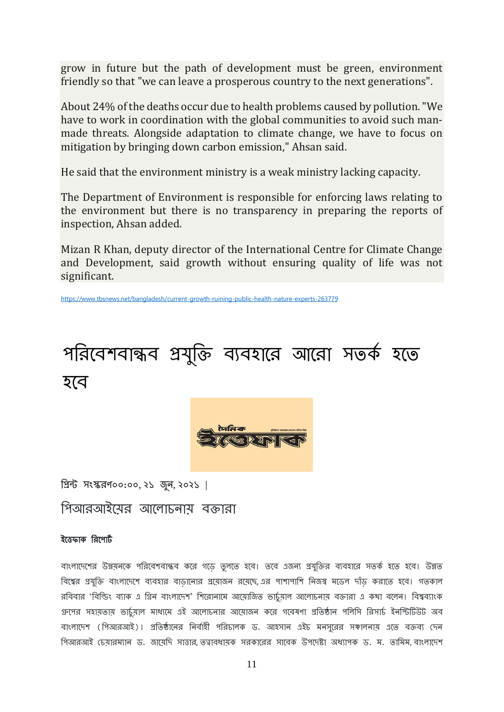grow in future but the path of development must be green, environment friendly so that "we can leave a prosperous country to the next generations".

About 24% of the deaths occur due to health problems caused by pollution. "We have to work in coordination with the global communities to avoid such manmade threats. Alongside adaptation to climate change, we have to focus on mitigation by bringing down carbon emission," Ahsan said.

He said that the environment ministry is a weak ministry lacking capacity.

The Department of Environment is responsible for enforcing laws relating to the environment but there is no transparency in preparing the reports of inspection, Ahsan added.

Mizan R Khan, deputy director of the International Centre for Climate Change and Development, said growth without ensuring quality of life was not significant.

<https://www.tbsnews.net/bangladesh/current-growth-ruining-public-health-nature-experts-263779>





 $\overline{\mathfrak{B}}$ ন্ট সংস্করণ০০:০০, ২১ জুন, ২০২১ |

পিআরআইয়ের আলোচনায় বক্তারা

#### ইত্তেফাক রিপোর্ট

বাংলাদেশের উন্নয়নকে পরিবেশবান্ধব করে গডে তুলতে হবে। তবে এজন্য প্রযুক্তির ব্যবহারে সতর্ক হতে হবে। উন্নত বিশ্বের প্রযুক্তি বাংলাদেশে ব্যবহার বাডানোর প্রয়োজন রয়েছে, এর পাশাপাশি নিজস্ব মডেল দাঁড করাতে হবে। গতকাল রবিবার 'বিল্ডিং ব্যাক এ গ্রিন বাংলাদেশ' শিরোনামে আয়োজিত ভার্চুমাল আলোচনায় বক্তারা এ কথা বলেন। বিশ্বব্যাংক গ্রুপের সহায়তায় ভার্চুয়াল মাধ্যমে এই আলোচনার আয়োজন করে গবেষণা প্রতিষ্ঠান পলিসি রিসার্চ ইনস্টিটিউট অব বাংলাদেশ (পিআরআই)। প্রতিষ্ঠানের নির্বাহী পরিচালক ড. আহসান এইচ মনসুরের সঞ্চালনায় এতে বক্তব্য দেন পিআরআই চেয়ারম্যান ড. জায়েদি সাত্তার, তত্বাবধায়ক সরকারের সাবেক উপদেষ্টা অধ্যাপক ড. ম. তামিম, বাংলাদেশ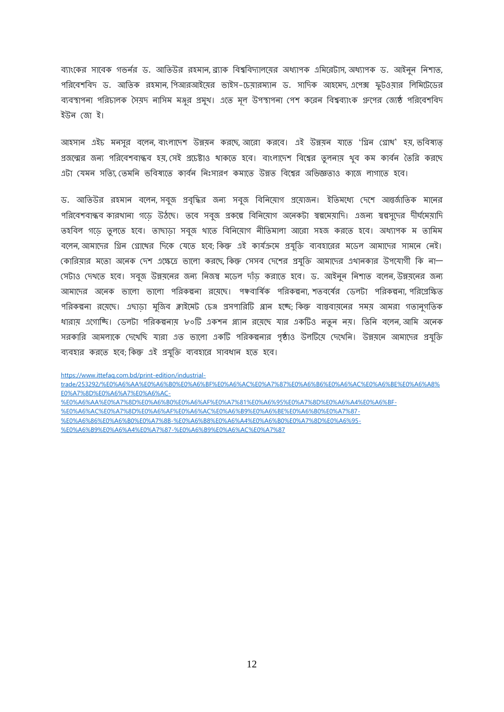ব্যাংকের সাবেক গভর্নর ড. আতিউর রহমান, ব্র্যাক বিশ্ববিদ্যালয়ের অধ্যাপক এমিরেটাস, অধ্যাপক ড. আইনন নিশাত, পরিবেশবিদ ড. আতিক রহমান, পিআরআইয়ের ভাইস-চেয়ারম্যান ড. সাদিক আহমেদ, এপেক্স ফুটওয়ার লিমিটেডের ব্যবস্থাপনা পরিচালক সৈয়দ নাসিম মঞ্জুর প্রমুখ। এতে মূল উপস্থাপনা পেশ করেন বিশ্বব্যাংক গ্রুপের জ্যেষ্ঠ পরিবেশবিদ ইউন দজা ই।

আহসান এইচ মনসুর বলেন, বাংলাদেশ উন্নয়ন করছে, আরো করবে। এই উন্নয়ন যাতে 'গ্রিন গ্রোখ' হয়, ভবিষ্যত প্রজন্মের জন্য পরিবেশবান্ধব হয়, সেই প্রচেষ্টাও থাকতে হবে। বাংলাদেশ বিশ্বের তুলনায় থুব কম কার্বন তৈরি করছে এটা মেমন সত্যি তেমনি ভবিষ্যতে কার্বন নিঃসারণ কমাতে উন্নত বিশ্বের অভিজ্ঞতাও কাজে লাগাতে হবে।

ড. আতিউর রহমান বলেন, সব্রজ প্রবৃদ্ধির জন্য সব্রজ বিনিয়োগ প্রয়োজন। ইতিমধ্যে দেশে আন্তর্জাতিক মানের পরিবেশবান্ধব কারখানা গডে উঠছে। তবে সব্রজ প্রকল্পে বিনিয়োগ অনেকটা স্বল্পমেয়াদি। এজন্য স্বল্পসুদের দীর্ঘমেয়াদি তহবিল গডে তলতে হবে। তাছাডা সবজ থাতে বিনিয়োগ নীতিমালা আরো সহজ করতে হবে। অধ্যাপক ম তামিম বলেন, আমাদের গ্রিন গ্রোখের দিকে যেতে হবে: কিন্তু এই কার্যক্রমে প্রযুক্তি ব্যবহারের মডেল আমাদের সামনে নেই। দেরিয়ার মতো অনেক দেশ এক্ষেত্রে ভালো করছে, কিন্তু সেসব দেশের প্রযুক্তি আমাদের এথানকার উপযোগী কি না— দেটাও দেখতে হবে। সব্বজ উন্নয়নের জন্য নিজস্ব মডেল দাঁড করাতে হবে। ড. আইনুন নিশাত বলেন, উন্নয়নের জন্য আমাদের অনেক ভালো ভালো পরিকল্পনা রয়েছে। পঞ্চবার্ষিক পরিকল্পনা, শতবর্ষের ডেলটা পরিকল্পনা, পরিগ্রেক্ষিত পরিকল্পনা রয়েছে। এছাডা মুর্জিব ক্লাইমেট চেঞ্জ প্রসপারিটি প্লান হচ্ছে; কিন্তু বাস্তবায়নের সময় আমরা গতানুগতিক ধারায় এগোচ্ছি। ডেলটা পরিকল্পনায় ৮০টি একশন প্ল্যান রয়েছে যার একটিও নতুন নয়। তিনি বলেন,আমি অনেক সরকারি আমলাকে দেখেছি যারা এত ভালো একটি পরিকল্পনার পৃষ্ঠাও উলটিয়ে দেখেনি। উন্নয়নে আমাদের প্রযুক্তি ব্যবহার করতে হবে; কিন্তু এই প্রযুক্তি ব্যবহারে সাবধান হতে হবে।

[https://www.ittefaq.com.bd/print-edition/industrial-](https://www.ittefaq.com.bd/print-edition/industrial-trade/253292/%E0%A6%AA%E0%A6%B0%E0%A6%BF%E0%A6%AC%E0%A7%87%E0%A6%B6%E0%A6%AC%E0%A6%BE%E0%A6%A8%E0%A7%8D%E0%A6%A7%E0%A6%AC-%E0%A6%AA%E0%A7%8D%E0%A6%B0%E0%A6%AF%E0%A7%81%E0%A6%95%E0%A7%8D%E0%A6%A4%E0%A6%BF-%E0%A6%AC%E0%A7%8D%E0%A6%AF%E0%A6%AC%E0%A6%B9%E0%A6%BE%E0%A6%B0%E0%A7%87-%E0%A6%86%E0%A6%B0%E0%A7%8B-%E0%A6%B8%E0%A6%A4%E0%A6%B0%E0%A7%8D%E0%A6%95-%E0%A6%B9%E0%A6%A4%E0%A7%87-%E0%A6%B9%E0%A6%AC%E0%A7%87)

[trade/253292/%E0%A6%AA%E0%A6%B0%E0%A6%BF%E0%A6%AC%E0%A7%87%E0%A6%B6%E0%A6%AC%E0%A6%BE%E0%A6%A8%](https://www.ittefaq.com.bd/print-edition/industrial-trade/253292/%E0%A6%AA%E0%A6%B0%E0%A6%BF%E0%A6%AC%E0%A7%87%E0%A6%B6%E0%A6%AC%E0%A6%BE%E0%A6%A8%E0%A7%8D%E0%A6%A7%E0%A6%AC-%E0%A6%AA%E0%A7%8D%E0%A6%B0%E0%A6%AF%E0%A7%81%E0%A6%95%E0%A7%8D%E0%A6%A4%E0%A6%BF-%E0%A6%AC%E0%A7%8D%E0%A6%AF%E0%A6%AC%E0%A6%B9%E0%A6%BE%E0%A6%B0%E0%A7%87-%E0%A6%86%E0%A6%B0%E0%A7%8B-%E0%A6%B8%E0%A6%A4%E0%A6%B0%E0%A7%8D%E0%A6%95-%E0%A6%B9%E0%A6%A4%E0%A7%87-%E0%A6%B9%E0%A6%AC%E0%A7%87) [E0%A7%8D%E0%A6%A7%E0%A6%AC-](https://www.ittefaq.com.bd/print-edition/industrial-trade/253292/%E0%A6%AA%E0%A6%B0%E0%A6%BF%E0%A6%AC%E0%A7%87%E0%A6%B6%E0%A6%AC%E0%A6%BE%E0%A6%A8%E0%A7%8D%E0%A6%A7%E0%A6%AC-%E0%A6%AA%E0%A7%8D%E0%A6%B0%E0%A6%AF%E0%A7%81%E0%A6%95%E0%A7%8D%E0%A6%A4%E0%A6%BF-%E0%A6%AC%E0%A7%8D%E0%A6%AF%E0%A6%AC%E0%A6%B9%E0%A6%BE%E0%A6%B0%E0%A7%87-%E0%A6%86%E0%A6%B0%E0%A7%8B-%E0%A6%B8%E0%A6%A4%E0%A6%B0%E0%A7%8D%E0%A6%95-%E0%A6%B9%E0%A6%A4%E0%A7%87-%E0%A6%B9%E0%A6%AC%E0%A7%87)

[%E0%A6%AA%E0%A7%8D%E0%A6%B0%E0%A6%AF%E0%A7%81%E0%A6%95%E0%A7%8D%E0%A6%A4%E0%A6%BF-](https://www.ittefaq.com.bd/print-edition/industrial-trade/253292/%E0%A6%AA%E0%A6%B0%E0%A6%BF%E0%A6%AC%E0%A7%87%E0%A6%B6%E0%A6%AC%E0%A6%BE%E0%A6%A8%E0%A7%8D%E0%A6%A7%E0%A6%AC-%E0%A6%AA%E0%A7%8D%E0%A6%B0%E0%A6%AF%E0%A7%81%E0%A6%95%E0%A7%8D%E0%A6%A4%E0%A6%BF-%E0%A6%AC%E0%A7%8D%E0%A6%AF%E0%A6%AC%E0%A6%B9%E0%A6%BE%E0%A6%B0%E0%A7%87-%E0%A6%86%E0%A6%B0%E0%A7%8B-%E0%A6%B8%E0%A6%A4%E0%A6%B0%E0%A7%8D%E0%A6%95-%E0%A6%B9%E0%A6%A4%E0%A7%87-%E0%A6%B9%E0%A6%AC%E0%A7%87)

- [%E0%A6%AC%E0%A7%8D%E0%A6%AF%E0%A6%AC%E0%A6%B9%E0%A6%BE%E0%A6%B0%E0%A7%87-](https://www.ittefaq.com.bd/print-edition/industrial-trade/253292/%E0%A6%AA%E0%A6%B0%E0%A6%BF%E0%A6%AC%E0%A7%87%E0%A6%B6%E0%A6%AC%E0%A6%BE%E0%A6%A8%E0%A7%8D%E0%A6%A7%E0%A6%AC-%E0%A6%AA%E0%A7%8D%E0%A6%B0%E0%A6%AF%E0%A7%81%E0%A6%95%E0%A7%8D%E0%A6%A4%E0%A6%BF-%E0%A6%AC%E0%A7%8D%E0%A6%AF%E0%A6%AC%E0%A6%B9%E0%A6%BE%E0%A6%B0%E0%A7%87-%E0%A6%86%E0%A6%B0%E0%A7%8B-%E0%A6%B8%E0%A6%A4%E0%A6%B0%E0%A7%8D%E0%A6%95-%E0%A6%B9%E0%A6%A4%E0%A7%87-%E0%A6%B9%E0%A6%AC%E0%A7%87)
- [%E0%A6%86%E0%A6%B0%E0%A7%8B-%E0%A6%B8%E0%A6%A4%E0%A6%B0%E0%A7%8D%E0%A6%95-](https://www.ittefaq.com.bd/print-edition/industrial-trade/253292/%E0%A6%AA%E0%A6%B0%E0%A6%BF%E0%A6%AC%E0%A7%87%E0%A6%B6%E0%A6%AC%E0%A6%BE%E0%A6%A8%E0%A7%8D%E0%A6%A7%E0%A6%AC-%E0%A6%AA%E0%A7%8D%E0%A6%B0%E0%A6%AF%E0%A7%81%E0%A6%95%E0%A7%8D%E0%A6%A4%E0%A6%BF-%E0%A6%AC%E0%A7%8D%E0%A6%AF%E0%A6%AC%E0%A6%B9%E0%A6%BE%E0%A6%B0%E0%A7%87-%E0%A6%86%E0%A6%B0%E0%A7%8B-%E0%A6%B8%E0%A6%A4%E0%A6%B0%E0%A7%8D%E0%A6%95-%E0%A6%B9%E0%A6%A4%E0%A7%87-%E0%A6%B9%E0%A6%AC%E0%A7%87)

[%E0%A6%B9%E0%A6%A4%E0%A7%87-%E0%A6%B9%E0%A6%AC%E0%A7%87](https://www.ittefaq.com.bd/print-edition/industrial-trade/253292/%E0%A6%AA%E0%A6%B0%E0%A6%BF%E0%A6%AC%E0%A7%87%E0%A6%B6%E0%A6%AC%E0%A6%BE%E0%A6%A8%E0%A7%8D%E0%A6%A7%E0%A6%AC-%E0%A6%AA%E0%A7%8D%E0%A6%B0%E0%A6%AF%E0%A7%81%E0%A6%95%E0%A7%8D%E0%A6%A4%E0%A6%BF-%E0%A6%AC%E0%A7%8D%E0%A6%AF%E0%A6%AC%E0%A6%B9%E0%A6%BE%E0%A6%B0%E0%A7%87-%E0%A6%86%E0%A6%B0%E0%A7%8B-%E0%A6%B8%E0%A6%A4%E0%A6%B0%E0%A7%8D%E0%A6%95-%E0%A6%B9%E0%A6%A4%E0%A7%87-%E0%A6%B9%E0%A6%AC%E0%A7%87)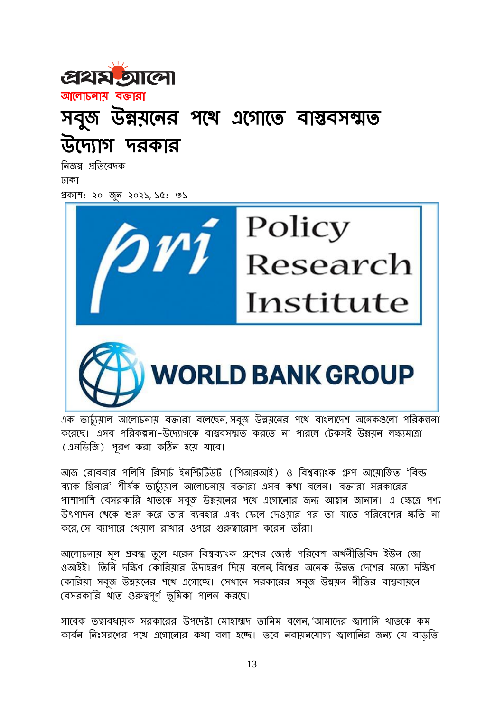



নিজস্ব প্রতিবেদক ঢার্া প্রর্াশ: ২০ জুন ২০২১, ১৫: ৩১





এক ভার্চুয়াল আলোচনায় বক্তারা বলেছেন, সবুজ উন্নয়নের পথে বাংলাদেশ অনেকগুলো পরিকল্পনা করেছে। এসব পরিকল্পনা–উদ্যোগকে বাস্তবসম্মত করতে না পারলে টেকসই উন্নয়ন লক্ষ্যমাত্রা (এসডিজি) পূরণ করা কঠিন হয়ে যাবে।

আজ রোববার পলিসি রিসার্চ ইনস্টিটিউট (পিআরআই) ও বিশ্বব্যাংক গ্রুপ আয়োজিত 'বিল্ড ব্যাক গ্রিনার' শীর্ষক ভার্চ্যমাল আলোচনায় বক্তারা এসব কথা বলেন। বক্তারা সরকারের পাশাপাশি বেসরকারি থাতকে সবুজ উন্নয়নের পথে এগোনোর জন্য আহ্বান জানান। এ ক্ষেত্রে পণ্য উৎপাদন থেকে শুরু করে তার ব্যবহার এবং ফেলে দেওয়ার পর তা যাতে পরিবেশের ক্ষতি না করে, সে ব্যাপারে খেয়াল রাখার ওপরে গুরুত্বারোপ করেন তাঁরা।

আলোচনায় মূল প্রবন্ধ তুলে ধরেন বিশ্বব্যাংক গ্রুপের জ্যেষ্ঠ পরিবেশ অর্থনীতিবিদ ইউন জো ওআইই। তিনি দক্ষিণ কোরিয়ার উদাহরণ দিয়ে বলেন, বিশ্বের অনেক উন্নত দেশের মতো দক্ষিণ কোরিয়া সবুজ উন্নয়নের পথে এগোচ্ছে। সেখানে সরকারের সবুজ উন্নয়ন নীতির বাস্তবায়নে বেসরকারি থাত গুরুত্বপূর্ণ ভূমিকা পালন করছে।

সাবেক তত্বাবধায়ক সরকারের উপদেষ্টা মোহাম্মদ তামিম বলেন, 'আমাদের স্বালানি থাতকে কম কার্বন নিঃসরণের পথে এগোনোর কথা বলা হচ্ছে। তবে নবায়নযোগ্য জ্বালানির জন্য যে বাড়তি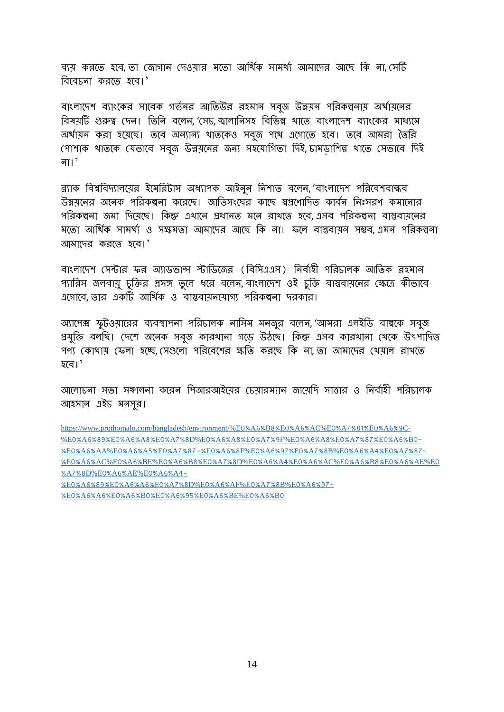ব্যয় করতে হবে, তা জোগান দেওয়ার মতো আর্থিক সামর্থ্য আমাদের আছে কি না, সেটি বিবেচনা করতে হবে।'

বাংলাদেশ ব্যাংকের সাবেক গর্ভনর আতিউর রহমান সবৃজ উন্নয়ন পরিকল্পনায় অর্থায়নের বিষয়টি গুরুত্ব দেন। তিনি বলেন 'সেচ জ্বালানিসহ বিভিন্ন থাতে বাংলাদেশ ব্যাংকের মাধ্যমে অর্থায়ন করা হয়েছে। তবে অন্যান্য থাতকেও সবজ পথে এগোতে হবে। তবে আমরা তৈরি পোশাক থাতকে যেভাবে সবৃজ উন্নয়নের জন্য সহযোগিতা দিই, চামডাশিল্প থাতে সেভাবে দিই না।'

ব্র্যাক বিশ্ববিদ্যালয়ের ইমেরিটাস অধ্যাপক আইনন নিশাত বলেন, 'বাংলাদেশ পরিবেশবান্ধব উন্নয়নের অনেক পরিকল্পনা করেছে। জাতিসংঘের কাছে স্বপ্রণোদিত কার্বন নিঃসরণ কমানোর পরিকল্পনা জমা দিযেছে। কিন্তু এথানে প্রধানত মনে রাখতে হবে এসব পরিকল্পনা বাস্তবাযনের মতো আর্থিক সামর্থ্য ও সক্ষমতা আমাদের আছে কি না। ফলে বাস্তবাযন সম্ভব এমন পরিকল্পনা আমাদের করতে হবে।'

বাংলাদেশ সেন্টার ফর অ্যাডভান্স স্টাডিজের (বিসিএএস) নির্বাহী পরিচালক আতিক রহমান প্যারিস জলবায়ু চুক্তির প্রসঙ্গ তুলে ধরে বলেন, বাংলাদেশ ওই চুক্তি বাস্তবায়নের ক্ষেত্রে কীভাবে । সাম বিকাবা, তাই এর্টি এবং বা এর্টি এর্টি এর্টি এর্টি এর্টি এর্টি আর্থিক ও বাস্তব্যাস্থ্য পরিকল্পনা দরকার।

অ্যাপেক্স ফুটওয়ারের ব্যবস্থাপনা পরিচালক নাসিম মনজুর বলেন, 'আমরা এলইডি বাল্বকে সবুজ প্রযুক্তি বলছি। দেশে অনেক সবুজ কারখানা গডে উঠভে। কিন্তু এসব কারখানা খেকে উৎপাদিত পণ্য কোথায় ফেলা হচ্ছে, সেগুলো পরিবেশের ক্ষতি করছে কি না, তা আমাদের থেয়াল রাখতে হবে।'

আলোচনা সভা সঞ্চালনা করেন পিআরআইয়ের চেয়ারম্যান জায়েদি সাত্তার ও নির্বাহী পরিচালক আহসান এইচ মনসুর।

[https://www.prothomalo.com/bangladesh/environment/%E](https://www.prothomalo.com/bangladesh/environment/%E0%A6%B8%E0%A6%AC%E0%A7%81%E0%A6%9C-%E0%A6%89%E0%A6%A8%E0%A7%8D%E0%A6%A8%E0%A7%9F%E0%A6%A8%E0%A7%87%E0%A6%B0-%E0%A6%AA%E0%A6%A5%E0%A7%87-%E0%A6%8F%E0%A6%97%E0%A7%8B%E0%A6%A4%E0%A7%87-%E0%A6%AC%E0%A6%BE%E0%A6%B8%E0%A7%8D%E0%A6%A4%E0%A6%AC%E0%A6%B8%E0%A6%AE%E0%A7%8D%E0%A6%AE%E0%A6%A4-%E0%A6%89%E0%A6%A6%E0%A7%8D%E0%A6%AF%E0%A7%8B%E0%A6%97-%E0%A6%A6%E0%A6%B0%E0%A6%95%E0%A6%BE%E0%A6%B0)0%A6%B8%E0%A6%AC%E0%A7%81%E0%A6%9C- %E0%A6%89%E0%A6%A8%E0%A7%8D%E0%A6%A8%E0%A7%9F%E0%A6%A8%E0%A[7%87%](https://www.prothomalo.com/bangladesh/environment/%E0%A6%B8%E0%A6%AC%E0%A7%81%E0%A6%9C-%E0%A6%89%E0%A6%A8%E0%A7%8D%E0%A6%A8%E0%A7%9F%E0%A6%A8%E0%A7%87%E0%A6%B0-%E0%A6%AA%E0%A6%A5%E0%A7%87-%E0%A6%8F%E0%A6%97%E0%A7%8B%E0%A6%A4%E0%A7%87-%E0%A6%AC%E0%A6%BE%E0%A6%B8%E0%A7%8D%E0%A6%A4%E0%A6%AC%E0%A6%B8%E0%A6%AE%E0%A7%8D%E0%A6%AE%E0%A6%A4-%E0%A6%89%E0%A6%A6%E0%A7%8D%E0%A6%AF%E0%A7%8B%E0%A6%97-%E0%A6%A6%E0%A6%B0%E0%A6%95%E0%A6%BE%E0%A6%B0)E0%A6%B0- %E0%A6%AA%E0%A6%A5%E0%A[7%87-%](https://www.prothomalo.com/bangladesh/environment/%E0%A6%B8%E0%A6%AC%E0%A7%81%E0%A6%9C-%E0%A6%89%E0%A6%A8%E0%A7%8D%E0%A6%A8%E0%A7%9F%E0%A6%A8%E0%A7%87%E0%A6%B0-%E0%A6%AA%E0%A6%A5%E0%A7%87-%E0%A6%8F%E0%A6%97%E0%A7%8B%E0%A6%A4%E0%A7%87-%E0%A6%AC%E0%A6%BE%E0%A6%B8%E0%A7%8D%E0%A6%A4%E0%A6%AC%E0%A6%B8%E0%A6%AE%E0%A7%8D%E0%A6%AE%E0%A6%A4-%E0%A6%89%E0%A6%A6%E0%A7%8D%E0%A6%AF%E0%A7%8B%E0%A6%97-%E0%A6%A6%E0%A6%B0%E0%A6%95%E0%A6%BE%E0%A6%B0)E0%A6%8F%E0%A6%97%E0%A7%8B%E0%A6%A4%E0%A7%87- %E0%A6%[AC%E](https://www.prothomalo.com/bangladesh/environment/%E0%A6%B8%E0%A6%AC%E0%A7%81%E0%A6%9C-%E0%A6%89%E0%A6%A8%E0%A7%8D%E0%A6%A8%E0%A7%9F%E0%A6%A8%E0%A7%87%E0%A6%B0-%E0%A6%AA%E0%A6%A5%E0%A7%87-%E0%A6%8F%E0%A6%97%E0%A7%8B%E0%A6%A4%E0%A7%87-%E0%A6%AC%E0%A6%BE%E0%A6%B8%E0%A7%8D%E0%A6%A4%E0%A6%AC%E0%A6%B8%E0%A6%AE%E0%A7%8D%E0%A6%AE%E0%A6%A4-%E0%A6%89%E0%A6%A6%E0%A7%8D%E0%A6%AF%E0%A7%8B%E0%A6%97-%E0%A6%A6%E0%A6%B0%E0%A6%95%E0%A6%BE%E0%A6%B0)0%A6%BE%E0%A6%B8%E0%A7%8D%E0%A6%A4%E0%A6%AC%E0%A6%B8%E0%A6%AE%E0 %A7%8D%E0%A6%[AE%E](https://www.prothomalo.com/bangladesh/environment/%E0%A6%B8%E0%A6%AC%E0%A7%81%E0%A6%9C-%E0%A6%89%E0%A6%A8%E0%A7%8D%E0%A6%A8%E0%A7%9F%E0%A6%A8%E0%A7%87%E0%A6%B0-%E0%A6%AA%E0%A6%A5%E0%A7%87-%E0%A6%8F%E0%A6%97%E0%A7%8B%E0%A6%A4%E0%A7%87-%E0%A6%AC%E0%A6%BE%E0%A6%B8%E0%A7%8D%E0%A6%A4%E0%A6%AC%E0%A6%B8%E0%A6%AE%E0%A7%8D%E0%A6%AE%E0%A6%A4-%E0%A6%89%E0%A6%A6%E0%A7%8D%E0%A6%AF%E0%A7%8B%E0%A6%97-%E0%A6%A6%E0%A6%B0%E0%A6%95%E0%A6%BE%E0%A6%B0)0%A6%A4-

%E0%A[6%89%](https://www.prothomalo.com/bangladesh/environment/%E0%A6%B8%E0%A6%AC%E0%A7%81%E0%A6%9C-%E0%A6%89%E0%A6%A8%E0%A7%8D%E0%A6%A8%E0%A7%9F%E0%A6%A8%E0%A7%87%E0%A6%B0-%E0%A6%AA%E0%A6%A5%E0%A7%87-%E0%A6%8F%E0%A6%97%E0%A7%8B%E0%A6%A4%E0%A7%87-%E0%A6%AC%E0%A6%BE%E0%A6%B8%E0%A7%8D%E0%A6%A4%E0%A6%AC%E0%A6%B8%E0%A6%AE%E0%A7%8D%E0%A6%AE%E0%A6%A4-%E0%A6%89%E0%A6%A6%E0%A7%8D%E0%A6%AF%E0%A7%8B%E0%A6%97-%E0%A6%A6%E0%A6%B0%E0%A6%95%E0%A6%BE%E0%A6%B0)E0%A6%A6%E0%A7%8D%E0%A6%AF%E0%A7%8B%E0%A6%97- %E0%A6%A6%E0%A6%B0%E0%A[6%95%](https://www.prothomalo.com/bangladesh/environment/%E0%A6%B8%E0%A6%AC%E0%A7%81%E0%A6%9C-%E0%A6%89%E0%A6%A8%E0%A7%8D%E0%A6%A8%E0%A7%9F%E0%A6%A8%E0%A7%87%E0%A6%B0-%E0%A6%AA%E0%A6%A5%E0%A7%87-%E0%A6%8F%E0%A6%97%E0%A7%8B%E0%A6%A4%E0%A7%87-%E0%A6%AC%E0%A6%BE%E0%A6%B8%E0%A7%8D%E0%A6%A4%E0%A6%AC%E0%A6%B8%E0%A6%AE%E0%A7%8D%E0%A6%AE%E0%A6%A4-%E0%A6%89%E0%A6%A6%E0%A7%8D%E0%A6%AF%E0%A7%8B%E0%A6%97-%E0%A6%A6%E0%A6%B0%E0%A6%95%E0%A6%BE%E0%A6%B0)E0%A6%BE%E0%A6%B0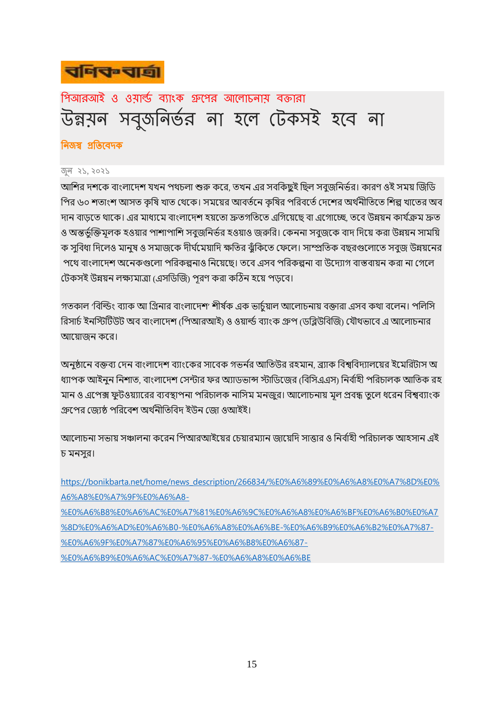

পিআরআই ও ওয়ার্ল্ড ব্যাংক গ্রুপের আলোচনায় বক্তারা উন্নয়ন সবুজনির্ভর না হলে টেকসই হবে না

#### নিজস্ব প্রতিবেদক

জুন ২১, ২০২১

আশির দশকে বাংলাদেশ যখন পথচলা শুরু করে, তখন এর সবকিছুই ছিল সবুজনির্ভর। কারণ ওই সময় জিডি পির ৬০ শতাংশ আসত কৃষি খাত থেকে। সময়ের আবর্তনে কৃষির পরিবর্তে দেশের অর্থনীতিতে শিল্প খাতের অব দান বাড়তে থাকে। এর মাধ্যমে বাংলাদেশ হয়তো দ্রুতগতিতে এগিয়েছে বা এগোচ্ছে, তবে উন্নয়ন কার্যক্রম দ্রুত ও অন্তর্ভক্তিমূলক হওয়ার পাশাপাশি সবুজনির্ভর হওয়াও জরুরি। কেননা সবুজকে বাদ দিয়ে করা উন্নয়ন সাময়ি ক সুবিধা দিলেও মানুষ ও সমাজকে দীর্ঘমেয়াদি ক্ষতির ঝুঁকিতে ফেলে। সাম্প্রতিক বছরগুলোতে সবুজ উন্নয়নের পথে বাংলাদেশ অনেকগুলো পরিকল্পনাও নিয়েছে। তবে এসব পরিকল্পনা বা উদ্যোগ বাস্তবায়ন করা না গেলে টেকসই উন্নয়ন লক্ষ্যমাত্রা (এসডিজি) পূরণ করা কঠিন হয়ে পড়বে।

গতকাল 'বিল্ডিং ব্যাক আ গ্রিনার বাংলাদেশ' শীর্ষক এক ভার্চয়াল আলোচনায় বক্তারা এসব কথা বলেন। পলিসি রিসার্চ ইনস্টিটিউট অব বাংলাদেশ (শিআরআই) ও ওয়ার্ল্ড ব্যাংক গ্রুপ (ডব্লিউবিজি) যৌথভাবে এ আলোচনার আয়োজন করে।

অনুষ্ঠানে বক্তব্য দেন বাংলাদেশ ব্যাংকের সাবেক গভর্নর আতিউর রহমান, ব্র্যাক বিশ্ববিদ্যালয়ের ইমেরিটাস অ ধ্যাপক আইনুন নিশাত, বাংলাদেশ সেন্টার ফর অ্যাডভান্স স্টাডিজের (বিসিএএস) নির্বাহী পরিচালক আতিক রহ মান ও এপেক্স ফুটওয়্যারের ব্যবস্থাপনা পরিচালক নাসিম মনজুর। আলোচনায় মূল প্রবন্ধ তুলে ধরেন বিশ্বব্যাংক গ্রুপের জ্যেষ্ঠ পরিবেশ অর্থনীতিবিদ ইউন জো ওআইই।

আলোচনা সভায় সঞ্চালনা করেন পিআরআইয়ের চেয়ারম্যান জায়েদি সাত্তার ও নির্বাহী পরিচালক আহসান এই চ মনসুর।

[https://bonikbarta.net/home/news\\_description/266834/%E0%A6%89%E0%A6%A8%E0%A7%8D%E0%](https://bonikbarta.net/home/news_description/266834/%E0%A6%89%E0%A6%A8%E0%A7%8D%E0%A6%A8%E0%A7%9F%E0%A6%A8-%E0%A6%B8%E0%A6%AC%E0%A7%81%E0%A6%9C%E0%A6%A8%E0%A6%BF%E0%A6%B0%E0%A7%8D%E0%A6%AD%E0%A6%B0-%E0%A6%A8%E0%A6%BE-%E0%A6%B9%E0%A6%B2%E0%A7%87-%E0%A6%9F%E0%A7%87%E0%A6%95%E0%A6%B8%E0%A6%87-%E0%A6%B9%E0%A6%AC%E0%A7%87-%E0%A6%A8%E0%A6%BE) [A6%A8%E0%A7%9F%E0%A6%A8-](https://bonikbarta.net/home/news_description/266834/%E0%A6%89%E0%A6%A8%E0%A7%8D%E0%A6%A8%E0%A7%9F%E0%A6%A8-%E0%A6%B8%E0%A6%AC%E0%A7%81%E0%A6%9C%E0%A6%A8%E0%A6%BF%E0%A6%B0%E0%A7%8D%E0%A6%AD%E0%A6%B0-%E0%A6%A8%E0%A6%BE-%E0%A6%B9%E0%A6%B2%E0%A7%87-%E0%A6%9F%E0%A7%87%E0%A6%95%E0%A6%B8%E0%A6%87-%E0%A6%B9%E0%A6%AC%E0%A7%87-%E0%A6%A8%E0%A6%BE) [%E0%A6%B8%E0%A6%AC%E0%A7%81%E0%A6%9C%E0%A6%A8%E0%A6%BF%E0%A6%B0%E0%A7](https://bonikbarta.net/home/news_description/266834/%E0%A6%89%E0%A6%A8%E0%A7%8D%E0%A6%A8%E0%A7%9F%E0%A6%A8-%E0%A6%B8%E0%A6%AC%E0%A7%81%E0%A6%9C%E0%A6%A8%E0%A6%BF%E0%A6%B0%E0%A7%8D%E0%A6%AD%E0%A6%B0-%E0%A6%A8%E0%A6%BE-%E0%A6%B9%E0%A6%B2%E0%A7%87-%E0%A6%9F%E0%A7%87%E0%A6%95%E0%A6%B8%E0%A6%87-%E0%A6%B9%E0%A6%AC%E0%A7%87-%E0%A6%A8%E0%A6%BE)

[%8D%E0%A6%AD%E0%A6%B0-%E0%A6%A8%E0%A6%BE-%E0%A6%B9%E0%A6%B2%E0%A7%87-](https://bonikbarta.net/home/news_description/266834/%E0%A6%89%E0%A6%A8%E0%A7%8D%E0%A6%A8%E0%A7%9F%E0%A6%A8-%E0%A6%B8%E0%A6%AC%E0%A7%81%E0%A6%9C%E0%A6%A8%E0%A6%BF%E0%A6%B0%E0%A7%8D%E0%A6%AD%E0%A6%B0-%E0%A6%A8%E0%A6%BE-%E0%A6%B9%E0%A6%B2%E0%A7%87-%E0%A6%9F%E0%A7%87%E0%A6%95%E0%A6%B8%E0%A6%87-%E0%A6%B9%E0%A6%AC%E0%A7%87-%E0%A6%A8%E0%A6%BE)

[%E0%A6%9F%E0%A7%87%E0%A6%95%E0%A6%B8%E0%A6%87-](https://bonikbarta.net/home/news_description/266834/%E0%A6%89%E0%A6%A8%E0%A7%8D%E0%A6%A8%E0%A7%9F%E0%A6%A8-%E0%A6%B8%E0%A6%AC%E0%A7%81%E0%A6%9C%E0%A6%A8%E0%A6%BF%E0%A6%B0%E0%A7%8D%E0%A6%AD%E0%A6%B0-%E0%A6%A8%E0%A6%BE-%E0%A6%B9%E0%A6%B2%E0%A7%87-%E0%A6%9F%E0%A7%87%E0%A6%95%E0%A6%B8%E0%A6%87-%E0%A6%B9%E0%A6%AC%E0%A7%87-%E0%A6%A8%E0%A6%BE)

[%E0%A6%B9%E0%A6%AC%E0%A7%87-%E0%A6%A8%E0%A6%BE](https://bonikbarta.net/home/news_description/266834/%E0%A6%89%E0%A6%A8%E0%A7%8D%E0%A6%A8%E0%A7%9F%E0%A6%A8-%E0%A6%B8%E0%A6%AC%E0%A7%81%E0%A6%9C%E0%A6%A8%E0%A6%BF%E0%A6%B0%E0%A7%8D%E0%A6%AD%E0%A6%B0-%E0%A6%A8%E0%A6%BE-%E0%A6%B9%E0%A6%B2%E0%A7%87-%E0%A6%9F%E0%A7%87%E0%A6%95%E0%A6%B8%E0%A6%87-%E0%A6%B9%E0%A6%AC%E0%A7%87-%E0%A6%A8%E0%A6%BE)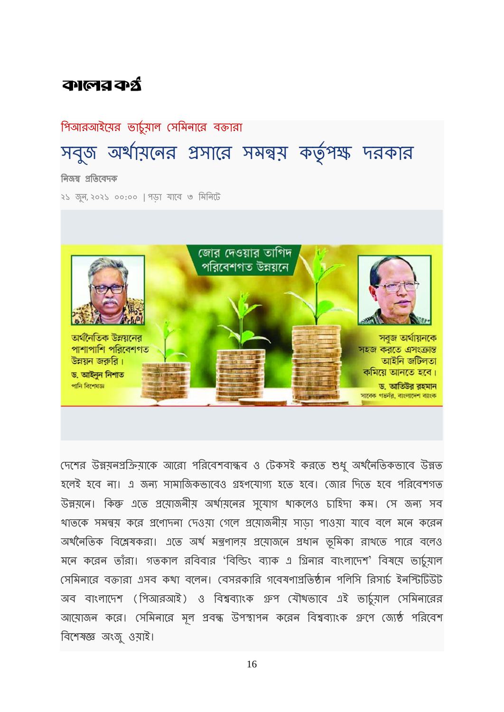# কালের কর্ন

### পিআরআইয়ের ভার্চুয়াল সেমিনারে বক্তারা

# সবুজ অর্থায়নের প্রসারে সমন্বয় কর্তৃপক্ষ দরকার নিজস্ব প্রতিবেদক

২১ জুন, ২০২১ ০০:০০ | পডা যাবে ৩ মিনিটে



দেশের উন্নয়নপ্রক্রিয়াকে আরো পরিবেশবান্ধব ও টেকসই করতে শুধু অর্থনৈতিকভাবে উন্নত হলেই হবে না। এ জন্য সামাজিকভাবেও গ্রহণযোগ্য হতে হবে। জোর দিতে হবে পরিবেশগত উন্নয়নে। কিন্তু এতে প্রয়োজনীয় অর্থায়নের সুযোগ থাকলেও চাহিদা কম। সে জন্য সব খাতকে সমন্বয় করে প্রণোদনা দেওয়া গেলে প্রয়োজনীয় সাড়া পাওয়া যাবে বলে মনে করেন অর্থনৈতিক বিশ্লেষকরা। এতে অর্থ মন্ত্রণালয় প্রয়োজনে প্রধান ভূমিকা রাখতে পারে বলেও মনে করেন তাঁরা। গতকাল রবিবার 'বিল্ডিং ব্যাক এ গ্রিনার বাংলাদেশ' বিষয়ে ভার্চুমাল দেমিনারে বক্তারা এসব কথা বলেন। বেসরকারি গবেষণাপ্রতিষ্ঠান পলিসি রিসার্চ ইনস্টিটিউট অব বাংলাদেশ (পিআরআই) ও বিশ্বব্যাংক গ্রুপ যৌথভাবে এই ভার্চুমাল সেমিনারের আয়োজন করে। সেমিনারে মূল প্রবন্ধ উপস্থাপন করেন বিশ্বব্যাংক গ্রুপে জ্যেষ্ঠ পরিবেশ রেবশষজ্ঞ অংজু ওয়াই।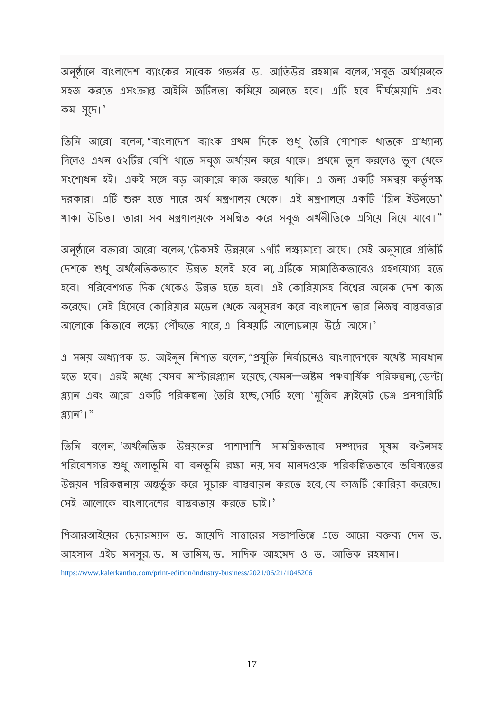অনুষ্ঠানে বাংলাদেশ ব্যাংকের সাবেক গভর্নর ড. আতিউর রহমান বলেন, 'সবুজ অর্থায়নকে সহজ করতে এসংক্রান্ত আইনি জটিলতা কমিয়ে আনতে হবে। এটি হবে দীর্ঘমেয়াদি এবং র্ম সুবে।'

তিনি আরো বলেন, "বাংলাদেশ ব্যাংক প্রথম দিকে শুধু তৈরি পোশাক থাতকে প্রাধ্যান্য দিলেও এথন ৫২টির বেশি থাতে সবুজ অর্থায়ন করে থাকে। প্রথমে ভুল করলেও ভুল থেকে সংশোধন হই। একই সঙ্গে বড় আকারে কাজ করতে থাকি। এ জন্য একটি সমন্বয় কর্তৃপক্ষ দরকার। এটি শুরু হতে পারে অর্থ মন্ত্রণালয় থেকে। এই মন্ত্রণালয়ে একটি 'গ্রিন ইউনডো' থাকা উচিত। তারা সব মন্ত্রণালয়কে সমন্বিত করে সবুজ অর্থনীতিকে এগিয়ে নিয়ে যাবে।"

অনুষ্ঠানে বক্তারা আরো বলেন, 'টেকসই উন্নয়নে ১৭টি লক্ষ্যমাত্রা আছে। সেই অনুসারে প্রতিটি দেশকে শুধু অর্থনৈতিকভাবে উন্নত হলেই হবে না, এটিকে সামার্জিকভাবেও গ্রহণযোগ্য হতে হবে। পরিবেশগত দিক থেকেও উন্নত হতে হবে। এই কোরিয়াসহ বিশ্বের অনেক দেশ কাজ ব্বরেছে। সেই হিসেবে কোরিয়ার মডেল থেকে অনুসরণ করে বাংলাদেশ তার নিজস্ব বাস্তবতার আলোকে কিভাবে লক্ষ্যে পৌঁছতে পারে, এ বিষয়টি আলোচনায় উঠে আসে।'

এ সময় অধ্যাপক ড. আইনুন নিশাত বলেন, "প্রযুক্তি নির্বাচনেও বাংলাদেশকে যথেষ্ট সাবধান হতে হবে। এরই মধ্যে যেসব মাস্টারপ্ল্যান হয়েছে, যেমন—অষ্টম পঞ্চবার্ষিক পরিকল্পনা, ডেল্টা প্ল্যান এবং আরো একটি পরিকল্পনা তৈরি হচ্ছে, সেটি হলো 'মুজিব ক্লাইমেট চেঞ্জ প্রসপারিটি প্লযান'।"

তিনি বলেন, 'অর্থনৈতিক উন্নয়নের পাশাপাশি সামগ্রিকভাবে সম্পদের সুষম বন্টনসহ পরিবেশগত শুধু জলাভূমি বা বনভূমি রক্ষা নয়, সব মানদণ্ডকে পরিকল্পিতভাবে ভবিষ্যতের উন্নয়ন পরিকল্পনায় অন্তর্ভুক্ত করে সুচারু বাস্তবায়ন করতে হবে, যে কাজটি কোরিয়া করেছে। দেই আলোকে বাংলাদেশের বাস্তবতায় করতে চাই।'

গিআরআইয়ের চেয়ারম্যান ড. জায়েদি সাত্তারের সভাপতিত্বে এতে আরো বক্তব্য দেন ড. আহসান এইচ মনসুর, ড. ম তামিম, ড. সাদিক আহমেদ ও ড. আতিক রহমান। <https://www.kalerkantho.com/print-edition/industry-business/2021/06/21/1045206>

17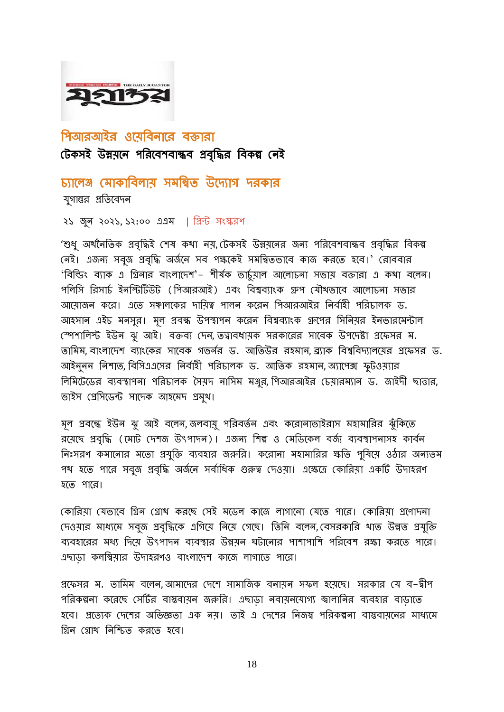### পিআরআইর ওযেবিনারে বক্তারা টেকসই উন্নয়নে পরিবেশবান্ধব প্রবৃদ্ধির বিকল্প নেই

চ্যালেঞ্জ মোকাবিলায় সমন্বিত উদ্যোগ দরকার যগান্তর প্রতিবেদন

২১ জুন ২০২১, ১২:০০ এএম | রপ্রন্ট সংস্কিণ

'শুধ্ অর্থনৈতিক প্রবৃদ্ধিই শেষ কথা নয়, টেকসই উন্নয়নের জন্য পরিবেশবান্ধব প্রবৃদ্ধির বিকল্প নেই। এজন্য সবুজ প্রবৃদ্ধি অর্জনে সব পক্ষকেই সমন্বিতভাবে কাজ করতে হবে।' রোববার 'বিল্ডিং ব্যাক এ গ্রিনার বাংলাদেশ'– শীর্ষক ভার্চুমাল আলোচনা সভাম বক্তারা এ কথা বলেন। পলিসি রিসার্চ ইনস্টিটিউট (পিআরআই) এবং বিশ্বব্যাংক গ্রুপ যৌথভাবে আলোচনা সভার আয়োজন করে। এতে সঞ্চালকের দায়িত্ব পালন করেন পিআরআইর নির্বাহী পরিচালক ড. আহসান এইচ মনসুর। মূল প্রবন্ধ উপস্থাপন করেন বিশ্বব্যাংক গ্রুপের সিনিয়র ইনভারমেন্টাল স্পেশালিস্ট ইউন ঝু আই। বক্তব্য দেন, তত্বাবধায়ক সরকারের সাবেক উপদেষ্টা প্রফেসর ম. তামিম, বাংলাদেশ ব্যাংকের সাবেক গভর্নর ড. আতিউর রহমান, ব্র্যাক বিশ্ববিদ্যালয়ের প্রফেসর ড. আইনুনন নিশাত, বিসিএএসের নির্বাহী পরিচালক ড. আতিক রহমান, অ্যাপেক্স ফুটওয়্যার লিমিটেডের ব্যবস্থাপনা পরিচালক সৈয়দ নাসিম মঞ্জুর, পিআরআইর চেয়ারম্যান ড. জাইদী ছাত্তার, ভাইস দপ্ররসবেন্ট সাবের্ আহবমে প্রমুখ।

মূল প্রবন্ধে ইউন ঝু আই বলেন, জলবায়ু পরিবর্তন এবং করোনাভাইরাস মহামারির ঝুঁকিতে রয়েছে প্রবৃদ্ধি (মোট দেশজ উৎপাদন)। এজন্য শিল্প ও মেডিকেল বর্জ্য ব্যবস্থাপনাসহ কার্বন নিঃসরণ কমানোর মতো প্রযুক্তি ব্যবহার জরুরি। করোনা মহামারির ক্ষতি পুষিয়ে ওঠার অন্যতম পথ হতে পারে সবুজ প্রবৃদ্ধি অর্জনে সর্বাধিক গুরুত্ব দেওয়া। এক্ষেত্রে কোরিয়া একটি উদাহরণ হবত পাবি।

কোরিয়া যেভাবে গ্রিন গ্রোখ করছে সেই মডেল কাজে লাগানো যেতে পারে। কোরিয়া প্রণোদনা দেওয়ার মাধ্যমে সবুজ প্রবৃদ্ধিকে এগিয়ে নিয়ে গেছে। তিনি বলেন, বেসরকারি থাত উন্নত প্রযুক্তি ব্যবহারের মধ্য দিয়ে উৎপাদন ব্যবস্থার উন্নয়ন ঘটানোর পাশাপাশি পরিবেশ রক্ষা করতে পারে। এছাডা কলম্বিয়ার উদাহরণও বাংলাদেশ কাজে লাগাতে পারে।

প্রফেসর ম. তামিম বলেন,আমাদের দেশে সামার্জিক বনায়ন সফল হয়েছে। সরকার যে ব–দ্বীপ পরিকল্পনা করেছে সেটির বাস্তবায়ন জরুরি। এছাডা নবায়নযোগ্য জ্বালানির ব্যবহার বাডাতে হবে। প্রত্যেক দেশের অভিজ্ঞতা এক নয়। তাই এ দেশের নিজস্ব পরিকল্পনা বাস্তবায়নের মাধ্যমে গ্রিন গ্রোখ নিশ্চিত করতে হবে।

18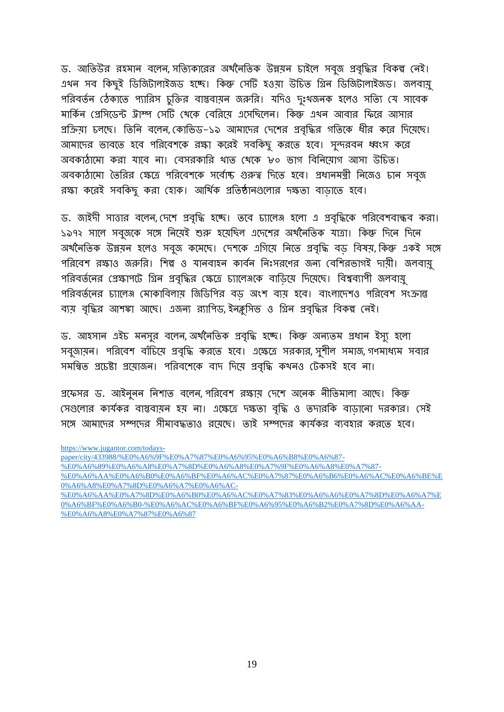ড. আতিউর রহমান বলেন, সত্যিকারের অর্থনৈতিক উন্নয়ন চাইলে সবুজ প্রবৃদ্ধির বিকল্প নেই। এখন সব কিছুই ডিজিটালাইজড হচ্ছে। কিন্তু সেটি হওয়া উচিত গ্রিন ডিজিটালাইজড। জলবায়ু পরিবর্তন ঠেকাতে প্যারিস চুক্তির বাস্তবায়ন জরুরি। যদিও দৃঃখজনক হলেও সত্যি যে সাবেক মার্কিন প্রেসিডেন্ট ট্রাম্প সেটি থেকে বেরিয়ে এসেছিলেন। কিন্তু এখন আবার ফিরে আসার প্রক্রিয়া চলছে। তিনি বলেন,কোভিড–১৯ আমাদের দেশের প্রবৃদ্ধির গতিকে ধীর করে দিয়েছে। আমাদের ভাবতে হবে পরিবেশকে রক্ষা করেই সবকিছু করতে হবে। সুন্দরবন ধ্বংস করে অবকাঠামো করা যাবে না। বেসরকারি থাত থেকে ৮০ ভাগ বিনিয়োগ আসা উচিত। অবকাঠামো তৈরির ক্ষেত্রে পরিবেশকে সর্বোষ্ট গুরুত্ব দিতে হবে। প্রধানমন্ত্রী নিজেও চান সবুজ রক্ষা করেই সবকিছু করা হোক। আর্থিক প্রতিষ্ঠানগুলোর দক্ষতা বাডাতে হবে।

ড. জাইদী সাত্তার বলেন, দেশে প্রবৃদ্ধি হচ্ছে। তবে চ্যালেঞ্জ হলো এ প্রবৃদ্ধিকে পরিবেশবান্ধব করা। ১৯৭২ সালে সবুজকে সঙ্গে নিয়েই শুরু হয়েছিল এদেশের অর্থনৈতিক যাত্রা। কিন্তু দিনে দিনে অর্থনৈতিক উন্নয়ন হলেও সবৃজ কমেছে। দেশকে এগিয়ে নিতে প্রবৃদ্ধি বড বিষয়, কিন্তু একই সঙ্গে পরিবেশ রক্ষাও জরুরি। শিল্প ও যানবাহন কার্বন নিঃসরণের জন্য বেশিরভাগই দায়ী। জলবায়ু পরিবর্তনের প্রেক্ষাপটে গ্রিন প্রবৃদ্ধির ক্ষেত্রে চ্যালেঞ্জকে বাডিয়ে দিয়েছে। বিশ্বব্যাপী জলবায়ু পরিবর্তনের চ্যালেঞ্জ মোকাবিলায় জিডিপির বড় অংশ ব্যয় হবে। বাংলাদেশও পরিবেশ সংক্রান্ত ব্যয় বৃদ্ধির আশঙ্কা আছে। এজন্য র্যাপিড, ইনক্লুসিভ ও গ্রিন প্রবৃদ্ধির বিকল্প নেই।

ড. আহসান এইচ মনসুর বলেন, অর্থনৈতিক প্রবৃদ্ধি হচ্ছে। কিন্তু অন্যতম প্রধান ইস্যু হলো সবুজায়ন। পরিবেশ বাঁচিয়ে প্রবৃদ্ধি করতে হবে। এক্ষেত্রে সরকার, সুশীল সমাজ, গণমাধ্যম সবার সমন্বিত প্রচেষ্টা প্রয়োজন। পরিবশেকে বাদ দিয়ে প্রবৃদ্ধি কখনও টেকসই হবে না।

প্রফেসর ড. আইননন নিশাত বলেন পরিবেশ রক্ষায় দেশে অনেক নীতিমালা আছে। কিন্তু দেগুলোর কার্যকর বাস্তবামূন হয় না। এক্ষেত্রে দক্ষতা বৃদ্ধি ও তদারকি বাডানো দরকার। সেই সঙ্গে আমাদের সম্পদের সীমাবদ্ধতাও রযেছে। তাই সম্পদের কার্যকর ব্যবহার করতে হবে।

[https://www.jugantor.com/todays-](https://www.jugantor.com/todays-paper/city/433988/%E0%A6%9F%E0%A7%87%E0%A6%95%E0%A6%B8%E0%A6%87-%E0%A6%89%E0%A6%A8%E0%A7%8D%E0%A6%A8%E0%A7%9F%E0%A6%A8%E0%A7%87-%E0%A6%AA%E0%A6%B0%E0%A6%BF%E0%A6%AC%E0%A7%87%E0%A6%B6%E0%A6%AC%E0%A6%BE%E0%A6%A8%E0%A7%8D%E0%A6%A7%E0%A6%AC-%E0%A6%AA%E0%A7%8D%E0%A6%B0%E0%A6%AC%E0%A7%83%E0%A6%A6%E0%A7%8D%E0%A6%A7%E0%A6%BF%E0%A6%B0-%E0%A6%AC%E0%A6%BF%E0%A6%95%E0%A6%B2%E0%A7%8D%E0%A6%AA-%E0%A6%A8%E0%A7%87%E0%A6%87)

[paper/city/433988/%E0%A6%9F%E0%A7%87%E0%A6%95%E0%A6%B8%E0%A6%87-](https://www.jugantor.com/todays-paper/city/433988/%E0%A6%9F%E0%A7%87%E0%A6%95%E0%A6%B8%E0%A6%87-%E0%A6%89%E0%A6%A8%E0%A7%8D%E0%A6%A8%E0%A7%9F%E0%A6%A8%E0%A7%87-%E0%A6%AA%E0%A6%B0%E0%A6%BF%E0%A6%AC%E0%A7%87%E0%A6%B6%E0%A6%AC%E0%A6%BE%E0%A6%A8%E0%A7%8D%E0%A6%A7%E0%A6%AC-%E0%A6%AA%E0%A7%8D%E0%A6%B0%E0%A6%AC%E0%A7%83%E0%A6%A6%E0%A7%8D%E0%A6%A7%E0%A6%BF%E0%A6%B0-%E0%A6%AC%E0%A6%BF%E0%A6%95%E0%A6%B2%E0%A7%8D%E0%A6%AA-%E0%A6%A8%E0%A7%87%E0%A6%87)

[<sup>%</sup>E0%A6%89%E0%A6%A8%E0%A7%8D%E0%A6%A8%E0%A7%9F%E0%A6%A8%E0%A7%87-](https://www.jugantor.com/todays-paper/city/433988/%E0%A6%9F%E0%A7%87%E0%A6%95%E0%A6%B8%E0%A6%87-%E0%A6%89%E0%A6%A8%E0%A7%8D%E0%A6%A8%E0%A7%9F%E0%A6%A8%E0%A7%87-%E0%A6%AA%E0%A6%B0%E0%A6%BF%E0%A6%AC%E0%A7%87%E0%A6%B6%E0%A6%AC%E0%A6%BE%E0%A6%A8%E0%A7%8D%E0%A6%A7%E0%A6%AC-%E0%A6%AA%E0%A7%8D%E0%A6%B0%E0%A6%AC%E0%A7%83%E0%A6%A6%E0%A7%8D%E0%A6%A7%E0%A6%BF%E0%A6%B0-%E0%A6%AC%E0%A6%BF%E0%A6%95%E0%A6%B2%E0%A7%8D%E0%A6%AA-%E0%A6%A8%E0%A7%87%E0%A6%87)

[<sup>%</sup>E0%A6%AA%E0%A6%B0%E0%A6%BF%E0%A6%AC%E0%A7%87%E0%A6%B6%E0%A6%AC%E0%A6%BE%E](https://www.jugantor.com/todays-paper/city/433988/%E0%A6%9F%E0%A7%87%E0%A6%95%E0%A6%B8%E0%A6%87-%E0%A6%89%E0%A6%A8%E0%A7%8D%E0%A6%A8%E0%A7%9F%E0%A6%A8%E0%A7%87-%E0%A6%AA%E0%A6%B0%E0%A6%BF%E0%A6%AC%E0%A7%87%E0%A6%B6%E0%A6%AC%E0%A6%BE%E0%A6%A8%E0%A7%8D%E0%A6%A7%E0%A6%AC-%E0%A6%AA%E0%A7%8D%E0%A6%B0%E0%A6%AC%E0%A7%83%E0%A6%A6%E0%A7%8D%E0%A6%A7%E0%A6%BF%E0%A6%B0-%E0%A6%AC%E0%A6%BF%E0%A6%95%E0%A6%B2%E0%A7%8D%E0%A6%AA-%E0%A6%A8%E0%A7%87%E0%A6%87) [0%A6%A8%E0%A7%8D%E0%A6%A7%E0%A6%AC-](https://www.jugantor.com/todays-paper/city/433988/%E0%A6%9F%E0%A7%87%E0%A6%95%E0%A6%B8%E0%A6%87-%E0%A6%89%E0%A6%A8%E0%A7%8D%E0%A6%A8%E0%A7%9F%E0%A6%A8%E0%A7%87-%E0%A6%AA%E0%A6%B0%E0%A6%BF%E0%A6%AC%E0%A7%87%E0%A6%B6%E0%A6%AC%E0%A6%BE%E0%A6%A8%E0%A7%8D%E0%A6%A7%E0%A6%AC-%E0%A6%AA%E0%A7%8D%E0%A6%B0%E0%A6%AC%E0%A7%83%E0%A6%A6%E0%A7%8D%E0%A6%A7%E0%A6%BF%E0%A6%B0-%E0%A6%AC%E0%A6%BF%E0%A6%95%E0%A6%B2%E0%A7%8D%E0%A6%AA-%E0%A6%A8%E0%A7%87%E0%A6%87)

[<sup>%</sup>E0%A6%AA%E0%A7%8D%E0%A6%B0%E0%A6%AC%E0%A7%83%E0%A6%A6%E0%A7%8D%E0%A6%A7%E](https://www.jugantor.com/todays-paper/city/433988/%E0%A6%9F%E0%A7%87%E0%A6%95%E0%A6%B8%E0%A6%87-%E0%A6%89%E0%A6%A8%E0%A7%8D%E0%A6%A8%E0%A7%9F%E0%A6%A8%E0%A7%87-%E0%A6%AA%E0%A6%B0%E0%A6%BF%E0%A6%AC%E0%A7%87%E0%A6%B6%E0%A6%AC%E0%A6%BE%E0%A6%A8%E0%A7%8D%E0%A6%A7%E0%A6%AC-%E0%A6%AA%E0%A7%8D%E0%A6%B0%E0%A6%AC%E0%A7%83%E0%A6%A6%E0%A7%8D%E0%A6%A7%E0%A6%BF%E0%A6%B0-%E0%A6%AC%E0%A6%BF%E0%A6%95%E0%A6%B2%E0%A7%8D%E0%A6%AA-%E0%A6%A8%E0%A7%87%E0%A6%87) [0%A6%BF%E0%A6%B0-%E0%A6%AC%E0%A6%BF%E0%A6%95%E0%A6%B2%E0%A7%8D%E0%A6%AA-](https://www.jugantor.com/todays-paper/city/433988/%E0%A6%9F%E0%A7%87%E0%A6%95%E0%A6%B8%E0%A6%87-%E0%A6%89%E0%A6%A8%E0%A7%8D%E0%A6%A8%E0%A7%9F%E0%A6%A8%E0%A7%87-%E0%A6%AA%E0%A6%B0%E0%A6%BF%E0%A6%AC%E0%A7%87%E0%A6%B6%E0%A6%AC%E0%A6%BE%E0%A6%A8%E0%A7%8D%E0%A6%A7%E0%A6%AC-%E0%A6%AA%E0%A7%8D%E0%A6%B0%E0%A6%AC%E0%A7%83%E0%A6%A6%E0%A7%8D%E0%A6%A7%E0%A6%BF%E0%A6%B0-%E0%A6%AC%E0%A6%BF%E0%A6%95%E0%A6%B2%E0%A7%8D%E0%A6%AA-%E0%A6%A8%E0%A7%87%E0%A6%87) [%E0%A6%A8%E0%A7%87%E0%A6%87](https://www.jugantor.com/todays-paper/city/433988/%E0%A6%9F%E0%A7%87%E0%A6%95%E0%A6%B8%E0%A6%87-%E0%A6%89%E0%A6%A8%E0%A7%8D%E0%A6%A8%E0%A7%9F%E0%A6%A8%E0%A7%87-%E0%A6%AA%E0%A6%B0%E0%A6%BF%E0%A6%AC%E0%A7%87%E0%A6%B6%E0%A6%AC%E0%A6%BE%E0%A6%A8%E0%A7%8D%E0%A6%A7%E0%A6%AC-%E0%A6%AA%E0%A7%8D%E0%A6%B0%E0%A6%AC%E0%A7%83%E0%A6%A6%E0%A7%8D%E0%A6%A7%E0%A6%BF%E0%A6%B0-%E0%A6%AC%E0%A6%BF%E0%A6%95%E0%A6%B2%E0%A7%8D%E0%A6%AA-%E0%A6%A8%E0%A7%87%E0%A6%87)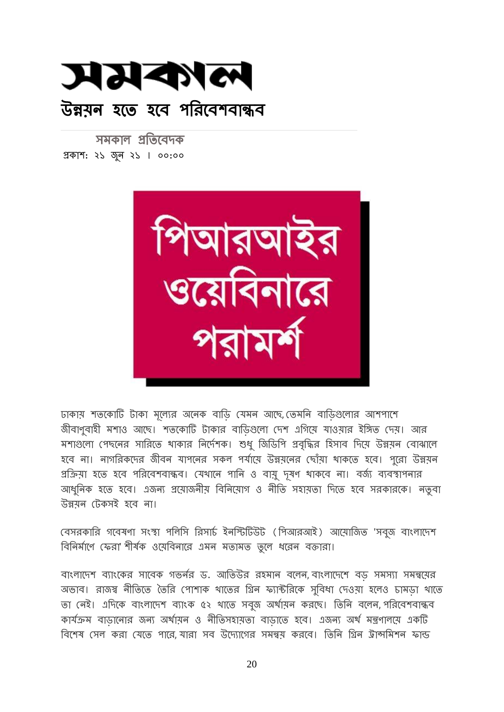

সমকাল প্রতিবেদক প্রর্াশ: ২১ জুন ২১ । ০০:০০



ঢাকায় শতকোটি টাকা মূল্যের অনেক বাডি যেমন আছে, তেমনি বাডিগুলোর আশপাশে জীবাণুবাহী মশাও আছে। শতকোটি টাকার বাডিগুলো দেশ এগিয়ে যাওয়ার ইঙ্গিত দেয়। আর মশাগুলো পেছনের সারিতে থাকার নির্দেশক। শুধু জিডিপি প্রবৃদ্ধির হিসাব দিয়ে উন্নয়ন বোঝালে হবে না। নাগরিকদের জীবন যাপনের সকল পর্যায়ে উন্নয়নের ছোঁয়া থাকতে হবে। পুরো উন্নয়ন প্রক্রিয়া হতে হবে পরিবেশবান্ধব। যেথানে পানি ও বায়ু দূষণ থাকবে না। বর্জ্য ব্যবস্থাপনার আধুনিক হতে হবে। এজন্য প্রয়োজনীয় বিনিয়োগ ও নীতি সহায়তা দিতে হবে সরকারকে। নতুবা উন্নয়ন দটর্সই হবে না।

বেসরকারি গবেষণা সংস্থা পলিসি রিসার্চ ইনস্টিটিউট (পিআরআই) আয়োজিত 'সবুজ বাংলাদেশ বিনির্মাণে ফেরা' শীর্ষক ওয়েবিনারে এমন মতামত তুলে ধরেন বক্তারা।

বাংলাদেশ ব্যাংকের সাবেক গভর্নর ড. আতিউর রহমান বলেন, বাংলাদেশে বড সমস্যা সমন্বয়ের অভাব। রাজস্ব নীতিতে তৈরি পোশাক থাতের গ্রিন ফ্যান্টরিকে সুবিধা দেওয়া হলেও চামড়া থাতে তা নেই। এদিকে বাংলাদেশ ব্যাংক ৫২ থাতে সবুজ অর্থায়ন করছে। তিনি বলেন, পরিবেশবান্ধব কার্যক্রম বাড়ানোর জন্য অর্থায়ন ও নীতিসহায়তা বাড়াতে হবে। এজন্য অর্থ মন্ত্রণালয়ে একটি বিশেষ সেল করা যেতে পারে যারা সব উদ্যোগের সমন্বয় করবে। তিনি গ্রিন ট্রান্সমিশন ফান্ড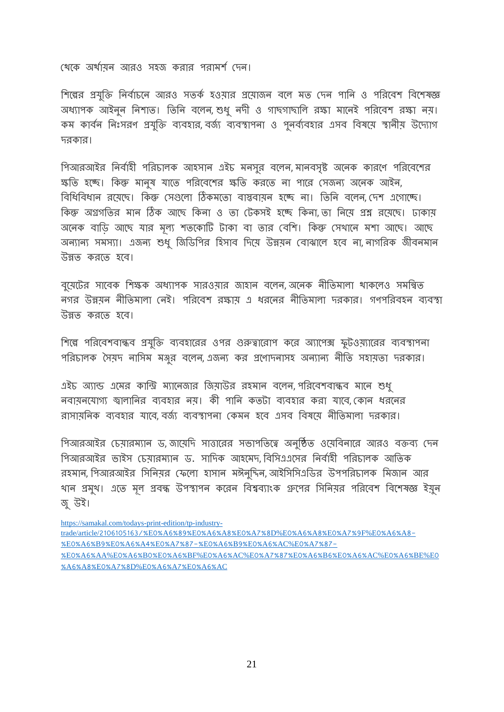থেকে অর্থায়ন আরও সহজ করার পরামর্শ দেন।

শিল্পের প্রযুক্তি নির্বাচনে আরও সতর্ক হওয়ার প্রয়োজন বলে মত দেন পানি ও পরিবেশ বিশেষজ্ঞ অধ্যাপক আইনুন নিশাত। তিনি বলেন, শুধ্ নদী ও গাছগাছালি রক্ষা মানেই পরিবেশ রক্ষা নয়। কম কার্বন নিঃসরণ প্রযুক্তি ব্যবহার, বর্জ্য ব্যবস্থাপনা ও পুনর্ব্যবহার এসব বিষয়ে স্থানীয় উদ্যোগ দরকার।

পিআরআইর নির্বাহী পরিচালক আহসান এইচ মনসুর বলেন, মানবসৃষ্ট অনেক কারণে পরিবেশের স্কতি হচ্ছে। কিন্তু মানুষ যাতে পরিবেশের ক্ষতি করতে না পারে সেজন্য অনেক আইন, বিধিবিধান রয়েছে। কিন্তু সেগুলো ঠিকমতো বাস্তবায়ন হচ্ছে না। তিনি বলেন, দেশ এগোচ্ছে। কিন্ধু অগ্রগতির মান ঠিক আছে কিনা ও তা টেকসই হচ্ছে কিনা তা নিযে প্রশ্ন রযেছে। ঢাকায অনেক বাডি আছে যার মূল্য শতকোটি টাকা বা তার বেশি। কিন্তু সেথানে মশা আছে। আছে অন্যান্য সমস্যা। এজন্য শুধু জিডিপির হিসাব দিয়ে উন্নয়ন বোঝালে হবে না, নাগরিক জীবনমান উন্নত র্িবত হবে।

বুয়েটের সাবেক শিক্ষক অধ্যাপক সারওয়ার জাহান বলেন, অনেক নীতিমালা থাকলেও সমন্বিত নগর উন্নয়ন নীতিমালা নেই। পরিবেশ রক্ষায় এ ধরনের নীতিমালা দরকার। গণপরিবহন ব্যবস্থা উন্নত করতে হবে।

শিল্পে পরিবেশবান্ধব প্রযুক্তি ব্যবহারের ওপর গুরুত্বারোপ করে অ্যাপেক্স ফুটওয়্যারের ব্যবস্থাপনা পরিচালক সৈয়দ নাসিম মঞ্জুর বলেন, এজন্য কর প্রণোদনাসহ অন্যান্য নীতি সহায়তা দরকার।

এইচ অ্যান্ড এমের কান্ড্রি ম্যানেজার জিয়াউর রহমান বলেন, পরিবেশবান্ধব মানে শুধু নবাযনযােগ্য জ্বালানির ব্যবহার নয়। কী পানি কতটা ব্যবহার করা যাবে, কোন ধরনের রাসায়নিক ব্যবহার যাবে বর্জ্য ব্যবস্থাপনা কেমন হবে এসব বিষয়ে নীতিমালা দরকার।

পিআরআইর চেয়ারম্যান ড, জায়েদি সাত্তারের সভাপতিত্বে অনুষ্ঠিত ওয়েবিনারে আরও বক্তব্য দেন পিআরআইর ভাইস চেয়ারম্যান ড. সাদিক আহমেদ বিসিএএসের নির্বাহী পরিচালক আতিক রহমান, গিআরআইর সিনিয়র ফেলো হাসান মঈনুদ্দিন, আইসিসিএডির উপপরিচালক মিজান আর খান প্রমুখ। এতে মূল প্রবন্ধ উপস্থাপন করেন বিশ্বব্যাংক গ্রুপের সিনিয়র পরিবেশ বিশেষজ্ঞ ইয়ুন জু উই।

[https://samakal.com/todays-print-edition/tp-industry](https://samakal.com/todays-print-edition/tp-industry-trade/article/2106105163/%E0%A6%89%E0%A6%A8%E0%A7%8D%E0%A6%A8%E0%A7%9F%E0%A6%A8-%E0%A6%B9%E0%A6%A4%E0%A7%87-%E0%A6%B9%E0%A6%AC%E0%A7%87-%E0%A6%AA%E0%A6%B0%E0%A6%BF%E0%A6%AC%E0%A7%87%E0%A6%B6%E0%A6%AC%E0%A6%BE%E0%A6%A8%E0%A7%8D%E0%A6%A7%E0%A6%AC)trade/article/[2106105163/%](https://samakal.com/todays-print-edition/tp-industry-trade/article/2106105163/%E0%A6%89%E0%A6%A8%E0%A7%8D%E0%A6%A8%E0%A7%9F%E0%A6%A8-%E0%A6%B9%E0%A6%A4%E0%A7%87-%E0%A6%B9%E0%A6%AC%E0%A7%87-%E0%A6%AA%E0%A6%B0%E0%A6%BF%E0%A6%AC%E0%A7%87%E0%A6%B6%E0%A6%AC%E0%A6%BE%E0%A6%A8%E0%A7%8D%E0%A6%A7%E0%A6%AC)E0%A6%89%E0%A6%A8%E0%A7%8D%E0%A6%A8%E0%A7%9F%E0%A6%A8- %E0%A6%B9%E0%A6%A4%E0%A[7%87-%](https://samakal.com/todays-print-edition/tp-industry-trade/article/2106105163/%E0%A6%89%E0%A6%A8%E0%A7%8D%E0%A6%A8%E0%A7%9F%E0%A6%A8-%E0%A6%B9%E0%A6%A4%E0%A7%87-%E0%A6%B9%E0%A6%AC%E0%A7%87-%E0%A6%AA%E0%A6%B0%E0%A6%BF%E0%A6%AC%E0%A7%87%E0%A6%B6%E0%A6%AC%E0%A6%BE%E0%A6%A8%E0%A7%8D%E0%A6%A7%E0%A6%AC)E0%A6%B9%E0%A6%AC%E0%A7%87- %E0%A6%AA%E0%A6%B0%E0%A6%BF%E0%A6%AC%E0%A[7%87%](https://samakal.com/todays-print-edition/tp-industry-trade/article/2106105163/%E0%A6%89%E0%A6%A8%E0%A7%8D%E0%A6%A8%E0%A7%9F%E0%A6%A8-%E0%A6%B9%E0%A6%A4%E0%A7%87-%E0%A6%B9%E0%A6%AC%E0%A7%87-%E0%A6%AA%E0%A6%B0%E0%A6%BF%E0%A6%AC%E0%A7%87%E0%A6%B6%E0%A6%AC%E0%A6%BE%E0%A6%A8%E0%A7%8D%E0%A6%A7%E0%A6%AC)E0%A6%B6%E0%A6%AC%E0%A6%BE%E0 %A6%A8%E0%A7%8[D%E](https://samakal.com/todays-print-edition/tp-industry-trade/article/2106105163/%E0%A6%89%E0%A6%A8%E0%A7%8D%E0%A6%A8%E0%A7%9F%E0%A6%A8-%E0%A6%B9%E0%A6%A4%E0%A7%87-%E0%A6%B9%E0%A6%AC%E0%A7%87-%E0%A6%AA%E0%A6%B0%E0%A6%BF%E0%A6%AC%E0%A7%87%E0%A6%B6%E0%A6%AC%E0%A6%BE%E0%A6%A8%E0%A7%8D%E0%A6%A7%E0%A6%AC)0%A6%A7%E0%A6%AC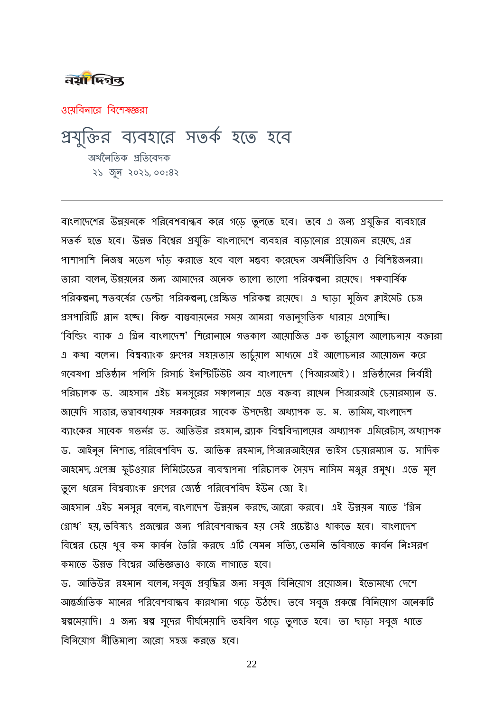#### तया फ्जिल

ওয়েবিনারে বিশেষজ্ঞরা

# প্রযুরিি েযেহাবি সতর্ক হবত হবে অর্থনৈতিক প্রতিবেদক ২১ জুন ২০২১, ০০:৪২

বাংলাদেশের উন্নয়নকে পরিবেশবান্ধব করে গড়ে তুলতে হবে। তবে এ জন্য প্রযুক্তির ব্যবহারে সতর্ক হতে হবে। উন্নত বিশ্বের প্রযুক্তি বাংলাদেশে ব্যবহার বাডানোর প্রয়োজন রয়েছে, এর পাশাপাশি নিজস্ব মডেল দাঁড় করাতে হবে বলে মন্তব্য করেছেন অর্থনীতিবিদ ও বিশিষ্টজনরা। তারা বলেন, উন্নয়নের জন্য আমাদের অনেক ভালো ভালো পরিকল্পনা রয়েছে। পঞ্চবার্ষিক পরিকল্পনা, শতবর্ষের ডেন্টা পরিকল্পনা, প্রেক্ষিত পরিকল্প রয়েছে। এ ছাড়া মুজিব ক্লাইমেট চেঞ্জ প্রসপারিটি প্লান হচ্ছে। কিন্তু বাস্তবায়নের সময় আমরা গতানুগতিক ধারায় এগোচ্ছি। 'বিল্ডিং ব্যাক এ গ্রিন বাংলাদেশ' শিরোনামে গতকাল আয়োজিত এক ভার্চুমাল আলোচনায় বক্তারা এ কথা বলেন। বিশ্বব্যাংক গ্রুপের সহায়তায় ভার্চুয়াল মাধ্যমে এই আলোচনার আয়োজন করে গবেষণা প্রতিষ্ঠান পলিসি রিসার্চ ইনস্টিটিউট অব বাংলাদেশ (পিআরআই)। প্রতিষ্ঠানের নির্বাহী পরিচালক ড. আহসান এইচ মনসুরের সঞ্চালনায় এতে বক্তব্য রাথেন পিআরআই চেয়ারম্যান ড. জায়েদি সাত্তার, তত্বাবধায়ক সরকারের সাবেক উপদেষ্টা অধ্যাপক ড. ম. তামিম, বাংলাদেশ ব্যাংকের সাবেক গভর্নর ড. আতিউর রহমান, ব্র্যাক বিশ্ববিদ্যালয়ের অধ্যাপক এমিরেটাস, অধ্যাপক ড. আইনুন নিশাত, পরিবেশবিদ ড. আতিক রহমান, পিআরআইয়ের ভাইস চেয়ারম্যান ড. সাদিক আহমেদ, এপেক্স ফুটওয়ার লিমিটেডের ব্যবস্থাপনা পরিচালক সৈয়দ নাসিম মঞ্জুর প্রমুখ। এতে মূল তুলে ধরেন বিশ্বব্যাংক গ্রুপের জ্যেষ্ঠ পরিবেশবিদ ইউন জো ই।

আহসান এইচ মনসুর বলেন, বাংলাদেশ উন্নয়ন করছে, আরো করবে। এই উন্নয়ন যাতে 'গ্রিন গ্রোখ' হয়, ভবিষ্যৎ প্রজন্মের জন্য পরিবেশবান্ধব হয় সেই প্রচেষ্টাও থাকতে হবে। বাংলাদেশ বিশ্বের চেয়ে থুব কম কার্বন তৈরি করছে এটি যেমন সত্যি, তেমনি ভবিষ্যতে কার্বন নিঃসরণ র্মাবত উন্নত রেবেি অরভজ্ঞতাও র্াবজ াগাবত হবে।

ড. আতিউর রহমান বলেন, সবুজ প্রবৃদ্ধির জন্য সবুজ বিনিয়োগ প্রয়োজন। ইতোমধ্যে দেশে আন্তর্জাতিক মানের পরিবেশবান্ধব কারখানা গড়ে উঠঘে। তবে সবুজ প্রকল্পে বিনিয়োগ অনেকটি স্বল্পমেয়াদি। এ জন্য স্বল্প সুদের দীর্ঘমেয়াদি তহবিল গড়ে তুলতে হবে। তা ঘাড়া সবুজ থাতে বিনিয়োগ নীতিমালা আরো সহজ করতে হবে।

22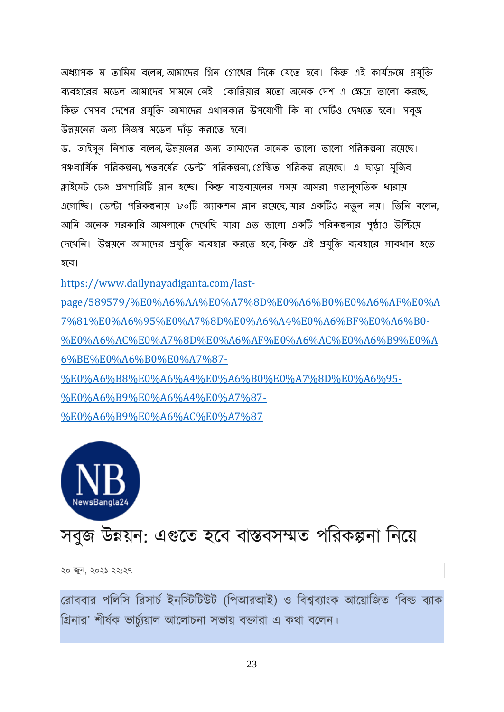অধ্যাপক ম তামিম বলেন, আমাদের গ্রিন গ্রোথের দিকে যেতে হবে। কিন্তু এই কার্যক্রমে প্রযুক্তি ব্যবহারের মডেল আমাদের সামনে নেই। কোরিয়ার মতো অনেক দেশ এ ক্ষেত্রে ভালো করছে, কিন্তু সেসব দেশের প্রযুক্তি আমাদের এথানকার উপযোগী কি না সেটিও দেখতে হবে। সবৃজ উন্নয়নের জন্য নিজস্ব মডেল দাঁড করাতে হবে।

ড. আইনুন নিশাত বলেন, উন্নয়নের জন্য আমাদের অনেক ভালো ভালো পরিকল্পনা রয়েছে। পঞ্চবার্ষিক পরিকল্পনা, শতবর্ষের ডেন্টা পরিকল্পনা, প্রেক্ষিত পরিকল্প রয়েছে। এ ছাডা মুজিব ক্লাইমেট চেঞ্জ প্রসপারিটি প্লান হচ্ছে। কিন্তু বাস্তবায়নের সময় আমরা গতানুগতিক ধারায় এগোচ্ছি। ডেন্টা পরিকল্পনায় ৮০টি অ্যাকশন প্লান রয়েছে, যার একটিও নতুন নয়। তিনি বলেন, আমি অনেক সরকারি আমলাকে দেখেছি যারা এত ভালো একটি পরিকল্পনার পৃষ্ঠাও উন্টিয়ে দেখেনি। উন্নয়নে আমাদের প্রযুক্তি ব্যবহার করতে হবে, কিন্তু এই প্রযুক্তি ব্যবহারে সাবধান হতে হবে।

[https://www.dailynayadiganta.com/last-](https://www.dailynayadiganta.com/last-page/589579/%E0%A6%AA%E0%A7%8D%E0%A6%B0%E0%A6%AF%E0%A7%81%E0%A6%95%E0%A7%8D%E0%A6%A4%E0%A6%BF%E0%A6%B0-%E0%A6%AC%E0%A7%8D%E0%A6%AF%E0%A6%AC%E0%A6%B9%E0%A6%BE%E0%A6%B0%E0%A7%87-%E0%A6%B8%E0%A6%A4%E0%A6%B0%E0%A7%8D%E0%A6%95-%E0%A6%B9%E0%A6%A4%E0%A7%87-%E0%A6%B9%E0%A6%AC%E0%A7%87)

[page/589579/%E0%A6%AA%E0%A7%8D%E0%A6%B0%E0%A6%AF%E0%A](https://www.dailynayadiganta.com/last-page/589579/%E0%A6%AA%E0%A7%8D%E0%A6%B0%E0%A6%AF%E0%A7%81%E0%A6%95%E0%A7%8D%E0%A6%A4%E0%A6%BF%E0%A6%B0-%E0%A6%AC%E0%A7%8D%E0%A6%AF%E0%A6%AC%E0%A6%B9%E0%A6%BE%E0%A6%B0%E0%A7%87-%E0%A6%B8%E0%A6%A4%E0%A6%B0%E0%A7%8D%E0%A6%95-%E0%A6%B9%E0%A6%A4%E0%A7%87-%E0%A6%B9%E0%A6%AC%E0%A7%87) [7%81%E0%A6%95%E0%A7%8D%E0%A6%A4%E0%A6%BF%E0%A6%B0-](https://www.dailynayadiganta.com/last-page/589579/%E0%A6%AA%E0%A7%8D%E0%A6%B0%E0%A6%AF%E0%A7%81%E0%A6%95%E0%A7%8D%E0%A6%A4%E0%A6%BF%E0%A6%B0-%E0%A6%AC%E0%A7%8D%E0%A6%AF%E0%A6%AC%E0%A6%B9%E0%A6%BE%E0%A6%B0%E0%A7%87-%E0%A6%B8%E0%A6%A4%E0%A6%B0%E0%A7%8D%E0%A6%95-%E0%A6%B9%E0%A6%A4%E0%A7%87-%E0%A6%B9%E0%A6%AC%E0%A7%87) [%E0%A6%AC%E0%A7%8D%E0%A6%AF%E0%A6%AC%E0%A6%B9%E0%A](https://www.dailynayadiganta.com/last-page/589579/%E0%A6%AA%E0%A7%8D%E0%A6%B0%E0%A6%AF%E0%A7%81%E0%A6%95%E0%A7%8D%E0%A6%A4%E0%A6%BF%E0%A6%B0-%E0%A6%AC%E0%A7%8D%E0%A6%AF%E0%A6%AC%E0%A6%B9%E0%A6%BE%E0%A6%B0%E0%A7%87-%E0%A6%B8%E0%A6%A4%E0%A6%B0%E0%A7%8D%E0%A6%95-%E0%A6%B9%E0%A6%A4%E0%A7%87-%E0%A6%B9%E0%A6%AC%E0%A7%87) [6%BE%E0%A6%B0%E0%A7%87-](https://www.dailynayadiganta.com/last-page/589579/%E0%A6%AA%E0%A7%8D%E0%A6%B0%E0%A6%AF%E0%A7%81%E0%A6%95%E0%A7%8D%E0%A6%A4%E0%A6%BF%E0%A6%B0-%E0%A6%AC%E0%A7%8D%E0%A6%AF%E0%A6%AC%E0%A6%B9%E0%A6%BE%E0%A6%B0%E0%A7%87-%E0%A6%B8%E0%A6%A4%E0%A6%B0%E0%A7%8D%E0%A6%95-%E0%A6%B9%E0%A6%A4%E0%A7%87-%E0%A6%B9%E0%A6%AC%E0%A7%87) [%E0%A6%B8%E0%A6%A4%E0%A6%B0%E0%A7%8D%E0%A6%95-](https://www.dailynayadiganta.com/last-page/589579/%E0%A6%AA%E0%A7%8D%E0%A6%B0%E0%A6%AF%E0%A7%81%E0%A6%95%E0%A7%8D%E0%A6%A4%E0%A6%BF%E0%A6%B0-%E0%A6%AC%E0%A7%8D%E0%A6%AF%E0%A6%AC%E0%A6%B9%E0%A6%BE%E0%A6%B0%E0%A7%87-%E0%A6%B8%E0%A6%A4%E0%A6%B0%E0%A7%8D%E0%A6%95-%E0%A6%B9%E0%A6%A4%E0%A7%87-%E0%A6%B9%E0%A6%AC%E0%A7%87)

[%E0%A6%B9%E0%A6%A4%E0%A7%87-](https://www.dailynayadiganta.com/last-page/589579/%E0%A6%AA%E0%A7%8D%E0%A6%B0%E0%A6%AF%E0%A7%81%E0%A6%95%E0%A7%8D%E0%A6%A4%E0%A6%BF%E0%A6%B0-%E0%A6%AC%E0%A7%8D%E0%A6%AF%E0%A6%AC%E0%A6%B9%E0%A6%BE%E0%A6%B0%E0%A7%87-%E0%A6%B8%E0%A6%A4%E0%A6%B0%E0%A7%8D%E0%A6%95-%E0%A6%B9%E0%A6%A4%E0%A7%87-%E0%A6%B9%E0%A6%AC%E0%A7%87) [%E0%A6%B9%E0%A6%AC%E0%A7%87](https://www.dailynayadiganta.com/last-page/589579/%E0%A6%AA%E0%A7%8D%E0%A6%B0%E0%A6%AF%E0%A7%81%E0%A6%95%E0%A7%8D%E0%A6%A4%E0%A6%BF%E0%A6%B0-%E0%A6%AC%E0%A7%8D%E0%A6%AF%E0%A6%AC%E0%A6%B9%E0%A6%BE%E0%A6%B0%E0%A7%87-%E0%A6%B8%E0%A6%A4%E0%A6%B0%E0%A7%8D%E0%A6%95-%E0%A6%B9%E0%A6%A4%E0%A7%87-%E0%A6%B9%E0%A6%AC%E0%A7%87)



# সবুজ উন্নয়ন: এগুতে হবে বাস্তবসম্মত পরিকল্পনা নিয়ে

২০ জুন, ২০২১ ২২:২৭

রোববার পলিসি রিসার্চ ইনস্টিটিউট (পিআরআই) ও বিশ্বব্যাংক আয়োজিত 'বিল্ড ব্যাক গ্রিনার' শীর্ষক ভার্চ্য়াল আলোচনা সভায় বক্তারা এ কথা বলেন।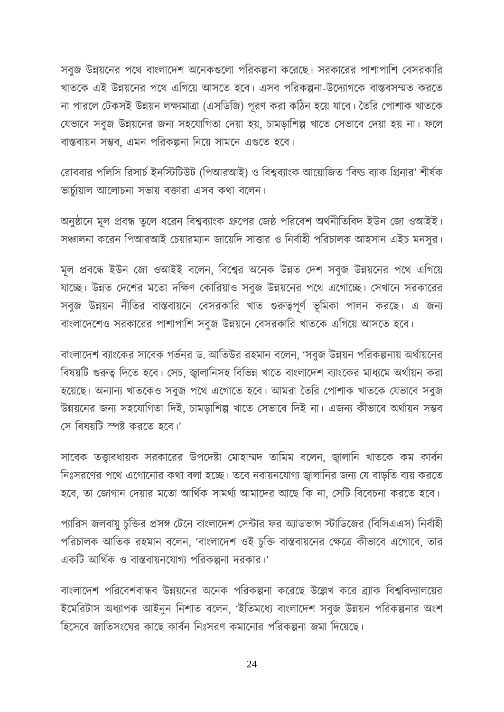সবুজ উন্নয়নের পথে বাংলাদেশ অনেকগুলো পরিকল্পনা করেছে। সরকারের পাশাপাশি বেসরকারি খাতকে এই উন্নয়নের পথে এগিয়ে আসতে হবে। এসব পরিকল্পনা-উদ্যোগকে বাস্তবসম্মত করতে না পারলে টেকসই উন্নয়ন লক্ষ্যমাত্রা (এসডিজি) পূরণ করা কঠিন হয়ে যাবে। তৈরি পোশাক খাতকে যেভাবে সবুজ উন্নয়নের জন্য সহযোগিতা দেয়া হয়, চামড়াশিল্প খাতে সেভাবে দেয়া হয় না। ফলে বাস্তবায়ন সম্ভব, এমন পরিকল্পনা নিয়ে সামনে এগুতে হবে।

রোববার পলিসি রিসার্চ ইনস্টিটিউট (পিআরআই) ও বিশ্বব্যাংক আয়োজিত 'বিল্ড ব্যাক গ্রিনার' শীর্ষক ভার্চ্য়াল আলোচনা সভায় বক্তারা এসব কথা বলেন।

অনুষ্ঠানে মূল প্রবন্ধ তুলে ধরেন বিশ্বব্যাংক গ্রুপের জেষ্ঠ পরিবেশ অর্থনীতিবিদ ইউন জো ওআইই। সঞ্চালনা করেন পিআরআই চেয়ারম্যান জায়েদি সাত্তার ও নির্বাহী পরিচালক আহসান এইচ মনসুর।

মূল প্রবন্ধে ইউন জো ওআইই বলেন, বিশ্বের অনেক উন্নত দেশ সবুজ উন্নয়নের পথে এগিয়ে যাচ্ছে। উন্নত দেশের মতো দক্ষিণ কোরিয়াও সবুজ উন্নয়নের পথে এগোচ্ছে। সেখানে সরকারের সবুজ উন্নয়ন নীতির বাস্তবায়নে বেসরকারি খাত গুরুত্বপূর্ণ ভূমিকা পালন করছে। এ জন্য বাংলাদেশেও সরকারের পাশাপাশি সবুজ উন্নয়নে বেসরকারি খাতকে এগিয়ে আসতে হবে।

বাংলাদেশ ব্যাংকের সাবেক গর্ভনর ড. আতিউর রহমান বলেন, 'সবুজ উন্নয়ন পরিকল্পনায় অর্থায়নের বিষয়টি গুরুত্ব দিতে হবে। সেচ, জ্বালানিসহ বিভিন্ন খাতে বাংলাদেশ ব্যাংকের মাধ্যমে অর্থায়ন করা হয়েছে। অন্যান্য খাতকেও সবুজ পথে এগোতে হবে। আমরা তৈরি পোশাক খাতকে যেভাবে সবুজ উন্নয়নের জন্য সহযোগিতা দিই, চামড়াশিল্প খাতে সেভাবে দিই না। এজন্য কীভাবে অর্থায়ন সম্ভব রস রবর্য়রি স্পষ্ট কিতে হতব।'

সাবেক তত্ত্বাবধায়ক সরকারের উপদেষ্টা মোহাম্মদ তামিম বলেন, জ্বালানি খাতকে কম কার্বন নিঃসরণের পথে এগোনোর কথা বলা হচ্ছে। তবে নবায়নযোগ্য জ্বালানির জন্য যে বাড়তি ব্যয় করতে হবে, তা জোগান দেয়ার মতো আর্থিক সামর্থ্য আমাদের আছে কি না, সেটি বিবেচনা করতে হবে।

প্যারিস জলবায়ু চুক্তির প্রসঙ্গ টেনে বাংলাদেশ সেন্টার ফর অ্যাডভান্স স্টাডিজের (বিসিএএস) নির্বাহী পরিচালক আতিক রহমান বলেন, 'বাংলাদেশ ওই চুক্তি বাস্তবায়নের ক্ষেত্রে কীভাবে এগোবে, তার একটি আর্থিক ও বাস্তবায়নযোগ্য পরিকল্পনা দরকার।'

বাংলাদেশ পরিবেশবান্ধব উন্নয়নের অনেক পরিকল্পনা করেছে উল্লেখ করে ব্র্যাক বিশ্ববিদ্যালয়ের ইমেরিটাস অধ্যাপক আইনুন নিশাত বলেন, 'ইতিমধ্যে বাংলাদেশ সবুজ উন্নয়ন পরিকল্পনার অংশ হিসেবে জাতিসংঘের কাছে কার্বন নিঃসরণ কমানোর পরিকল্পনা জমা দিয়েছে।

24